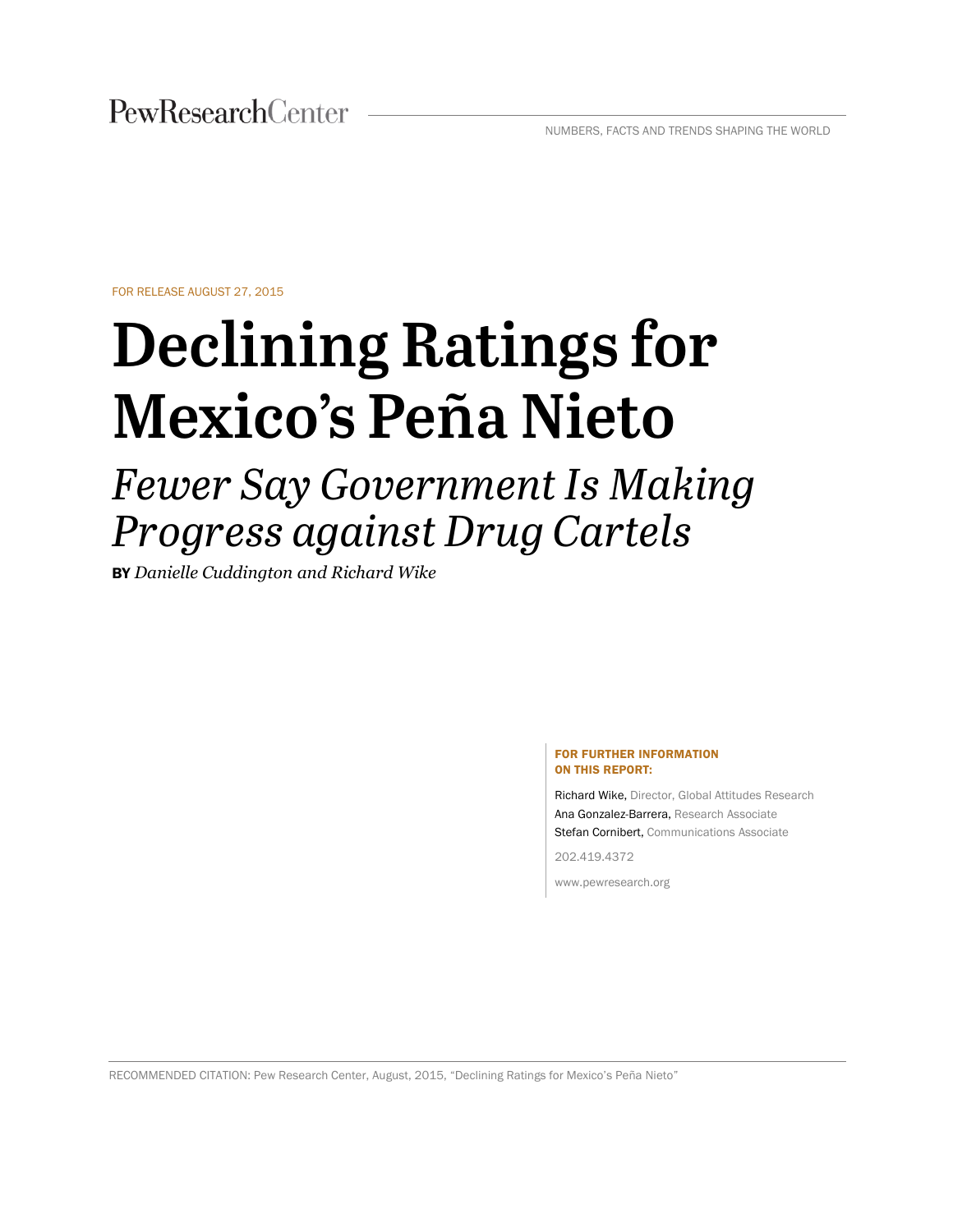FOR RELEASE AUGUST 27, 2015

# **Declining Ratings for Mexico's Peña Nieto**

# *Fewer Say Government Is Making Progress against Drug Cartels*

BY *Danielle Cuddington and Richard Wike* 

#### FOR FURTHER INFORMATION ON THIS REPORT:

Richard Wike, Director, Global Attitudes Research Ana Gonzalez-Barrera, Research Associate Stefan Cornibert, Communications Associate

202.419.4372

www.pewresearch.org

RECOMMENDED CITATION: Pew Research Center, August, 2015, "Declining Ratings for Mexico's Peña Nieto"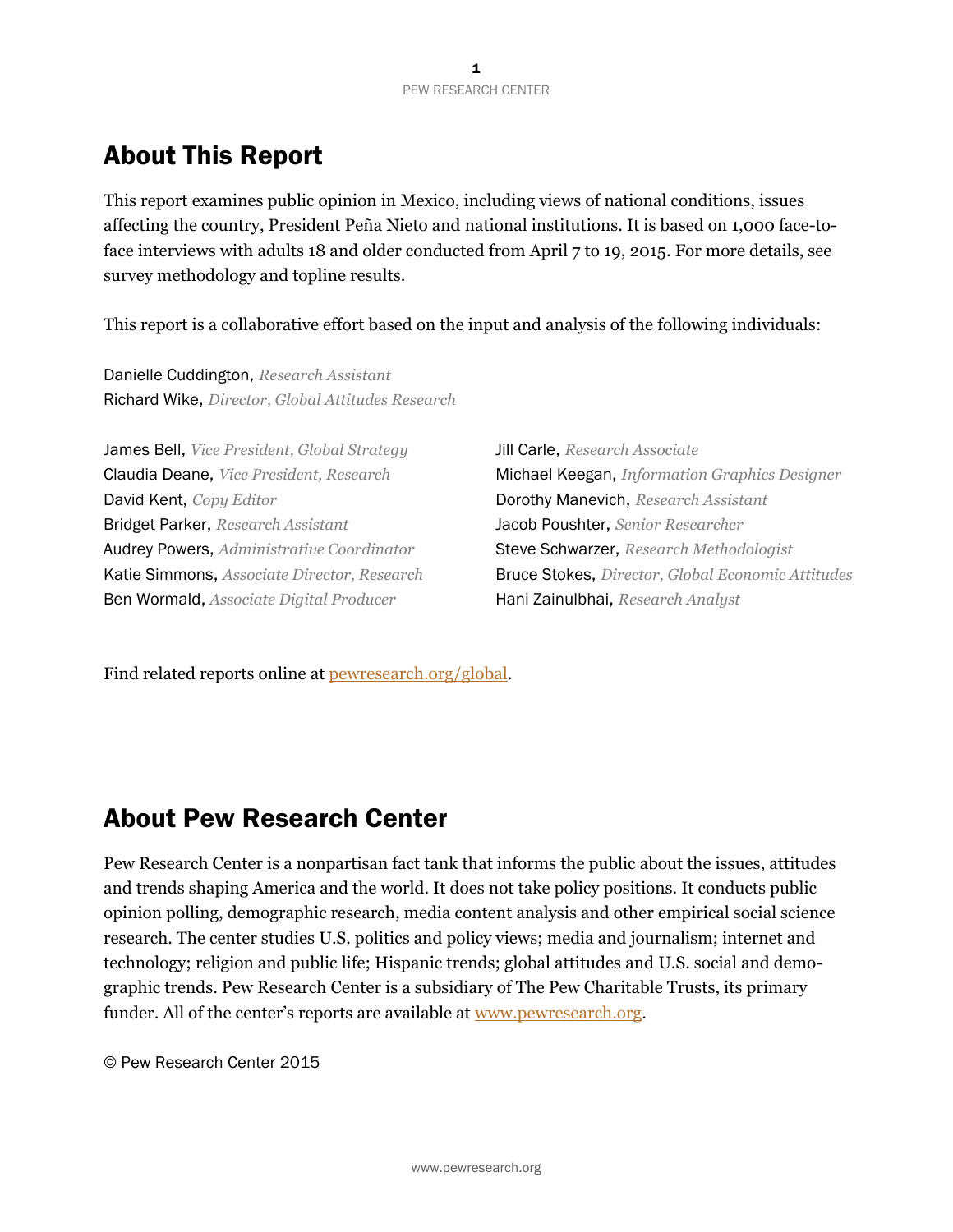# About This Report

This report examines public opinion in Mexico, including views of national conditions, issues affecting the country, President Peña Nieto and national institutions. It is based on 1,000 face-toface interviews with adults 18 and older conducted from April 7 to 19, 2015. For more details, see survey methodology and topline results.

This report is a collaborative effort based on the input and analysis of the following individuals:

Danielle Cuddington, *Research Assistant* Richard Wike, *Director, Global Attitudes Research*

James Bell, *Vice President, Global Strategy* Jill Carle, *Research Associate*  David Kent, *Copy Editor* Dorothy Manevich, *Research Assistant*  Bridget Parker, *Research Assistant* Jacob Poushter, *Senior Researcher*  Audrey Powers, *Administrative Coordinator* Steve Schwarzer, *Research Methodologist*  Ben Wormald, *Associate Digital Producer* Hani Zainulbhai, *Research Analyst* 

Claudia Deane, *Vice President, Research* Michael Keegan, *Information Graphics Designer* Katie Simmons, *Associate Director, Research* Bruce Stokes, *Director, Global Economic Attitudes* 

Find related reports online at <u>pewresearch.org/global</u>.

# About Pew Research Center

Pew Research Center is a nonpartisan fact tank that informs the public about the issues, attitudes and trends shaping America and the world. It does not take policy positions. It conducts public opinion polling, demographic research, media content analysis and other empirical social science research. The center studies U.S. politics and policy views; media and journalism; internet and technology; religion and public life; Hispanic trends; global attitudes and U.S. social and demographic trends. Pew Research Center is a subsidiary of The Pew Charitable Trusts, its primary funder. All of the center's reports are available at www.pewresearch.org.

© Pew Research Center 2015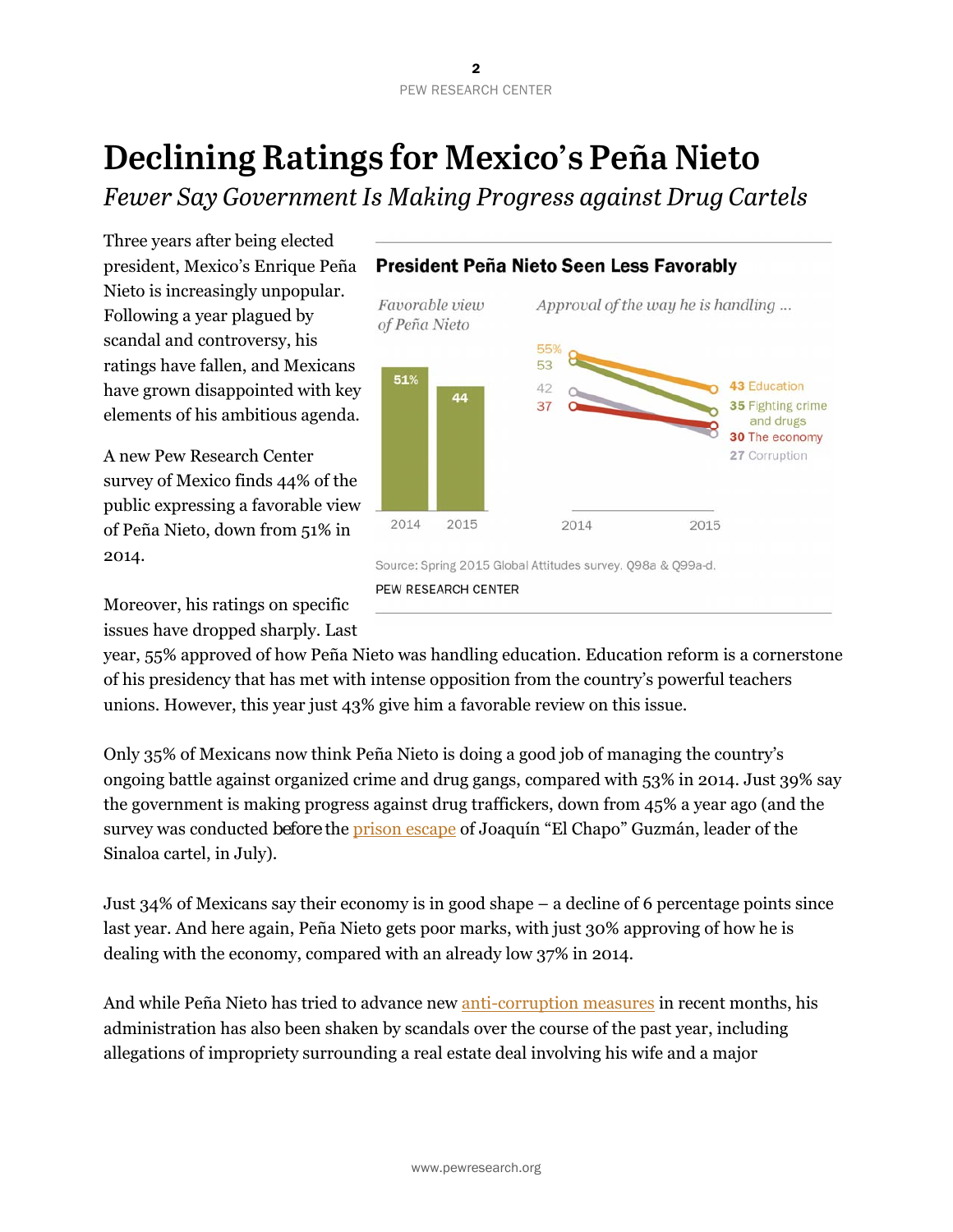# **Declining Ratings for Mexico's Peña Nieto**

*Fewer Say Government Is Making Progress against Drug Cartels* 

Three years after being elected president, Mexico's Enrique Peña Nieto is increasingly unpopular. Following a year plagued by scandal and controversy, his ratings have fallen, and Mexicans have grown disappointed with key elements of his ambitious agenda.

A new Pew Research Center survey of Mexico finds 44% of the public expressing a favorable view of Peña Nieto, down from 51% in 2014.

Moreover, his ratings on specific issues have dropped sharply. Last



year, 55% approved of how Peña Nieto was handling education. Education reform is a cornerstone of his presidency that has met with intense opposition from the country's powerful teachers unions. However, this year just 43% give him a favorable review on this issue.

Only 35% of Mexicans now think Peña Nieto is doing a good job of managing the country's ongoing battle against organized crime and drug gangs, compared with 53% in 2014. Just 39% say the government is making progress against drug traffickers, down from 45% a year ago (and the survey was conducted *before* the [prison escape](http://www.bbc.com/news/world-latin-america-33498573) of Joaquín "El Chapo" Guzmán, leader of the Sinaloa cartel, in July).

Just 34% of Mexicans say their economy is in good shape – a decline of 6 percentage points since last year. And here again, Peña Nieto gets poor marks, with just 30% approving of how he is dealing with the economy, compared with an already low 37% in 2014.

And while Peña Nieto has tried to advance new [anti-corruption measures](https://www.washingtonpost.com/world/the_americas/after-months-of-scandals-new-rules-in-mexico-to-tackle-corruption/2015/04/25/cd657262-45c8-4170-8cba-a347ca9bda2a_story.html) in recent months, his administration has also been shaken by scandals over the course of the past year, including allegations of impropriety surrounding a real estate deal involving his wife and a major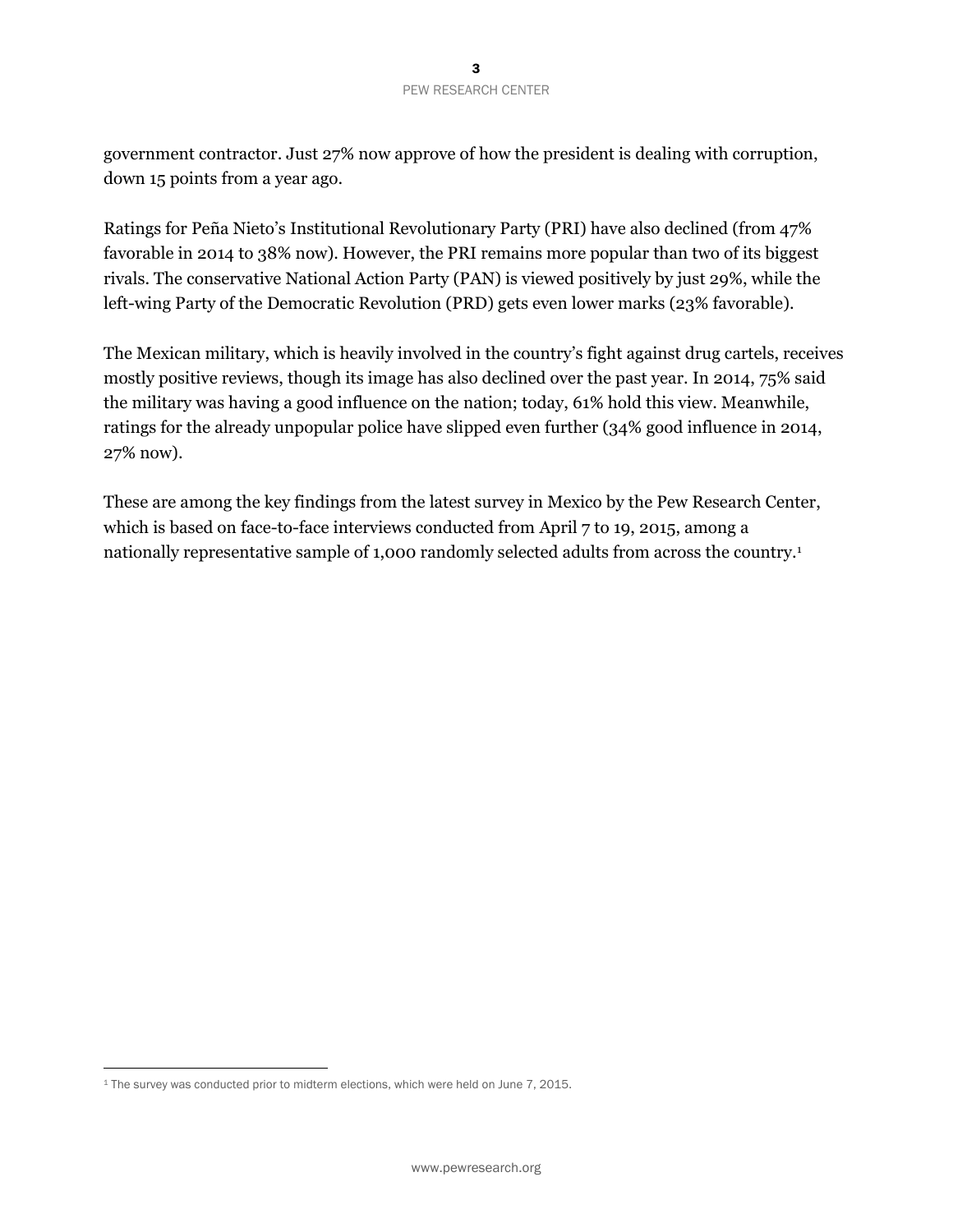government contractor. Just 27% now approve of how the president is dealing with corruption, down 15 points from a year ago.

Ratings for Peña Nieto's Institutional Revolutionary Party (PRI) have also declined (from 47% favorable in 2014 to 38% now). However, the PRI remains more popular than two of its biggest rivals. The conservative National Action Party (PAN) is viewed positively by just 29%, while the left-wing Party of the Democratic Revolution (PRD) gets even lower marks (23% favorable).

The Mexican military, which is heavily involved in the country's fight against drug cartels, receives mostly positive reviews, though its image has also declined over the past year. In 2014, 75% said the military was having a good influence on the nation; today, 61% hold this view. Meanwhile, ratings for the already unpopular police have slipped even further (34% good influence in 2014, 27% now).

These are among the key findings from the latest survey in Mexico by the Pew Research Center, which is based on face-to-face interviews conducted from April 7 to 19, 2015, among a nationally representative sample of 1,000 randomly selected adults from across the country.1

 $\overline{a}$ 

<sup>1</sup> The survey was conducted prior to midterm elections, which were held on June 7, 2015.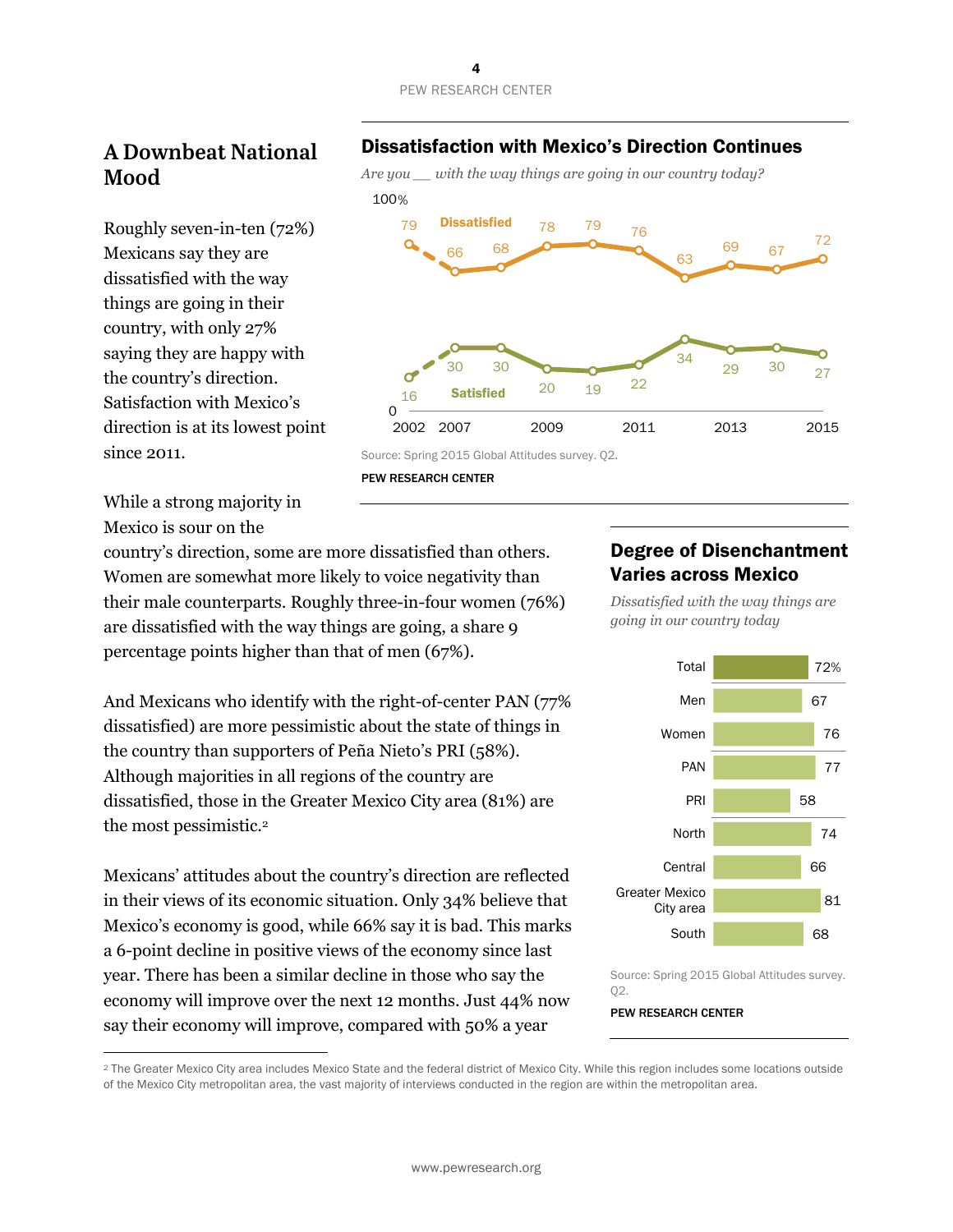

# **A Downbeat National Mood**

Roughly seven-in-ten (72%) Mexicans say they are dissatisfied with the way things are going in their country, with only 27% saying they are happy with the country's direction. Satisfaction with Mexico's direction is at its lowest point since 2011.

#### Dissatisfaction with Mexico's Direction Continues



PEW RESEARCH CENTER

While a strong majority in Mexico is sour on the

 $\overline{a}$ 

country's direction, some are more dissatisfied than others. Women are somewhat more likely to voice negativity than their male counterparts. Roughly three-in-four women (76%) are dissatisfied with the way things are going, a share 9 percentage points higher than that of men (67%).

And Mexicans who identify with the right-of-center PAN (77% dissatisfied) are more pessimistic about the state of things in the country than supporters of Peña Nieto's PRI (58%). Although majorities in all regions of the country are dissatisfied, those in the Greater Mexico City area (81%) are the most pessimistic.2

Mexicans' attitudes about the country's direction are reflected in their views of its economic situation. Only 34% believe that Mexico's economy is good, while 66% say it is bad. This marks a 6-point decline in positive views of the economy since last year. There has been a similar decline in those who say the economy will improve over the next 12 months. Just 44% now say their economy will improve, compared with 50% a year

#### Degree of Disenchantment Varies across Mexico

*Dissatisfied with the way things are going in our country today* 



Source: Spring 2015 Global Attitudes survey. Q2.

<sup>&</sup>lt;sup>2</sup> The Greater Mexico City area includes Mexico State and the federal district of Mexico City. While this region includes some locations outside of the Mexico City metropolitan area, the vast majority of interviews conducted in the region are within the metropolitan area.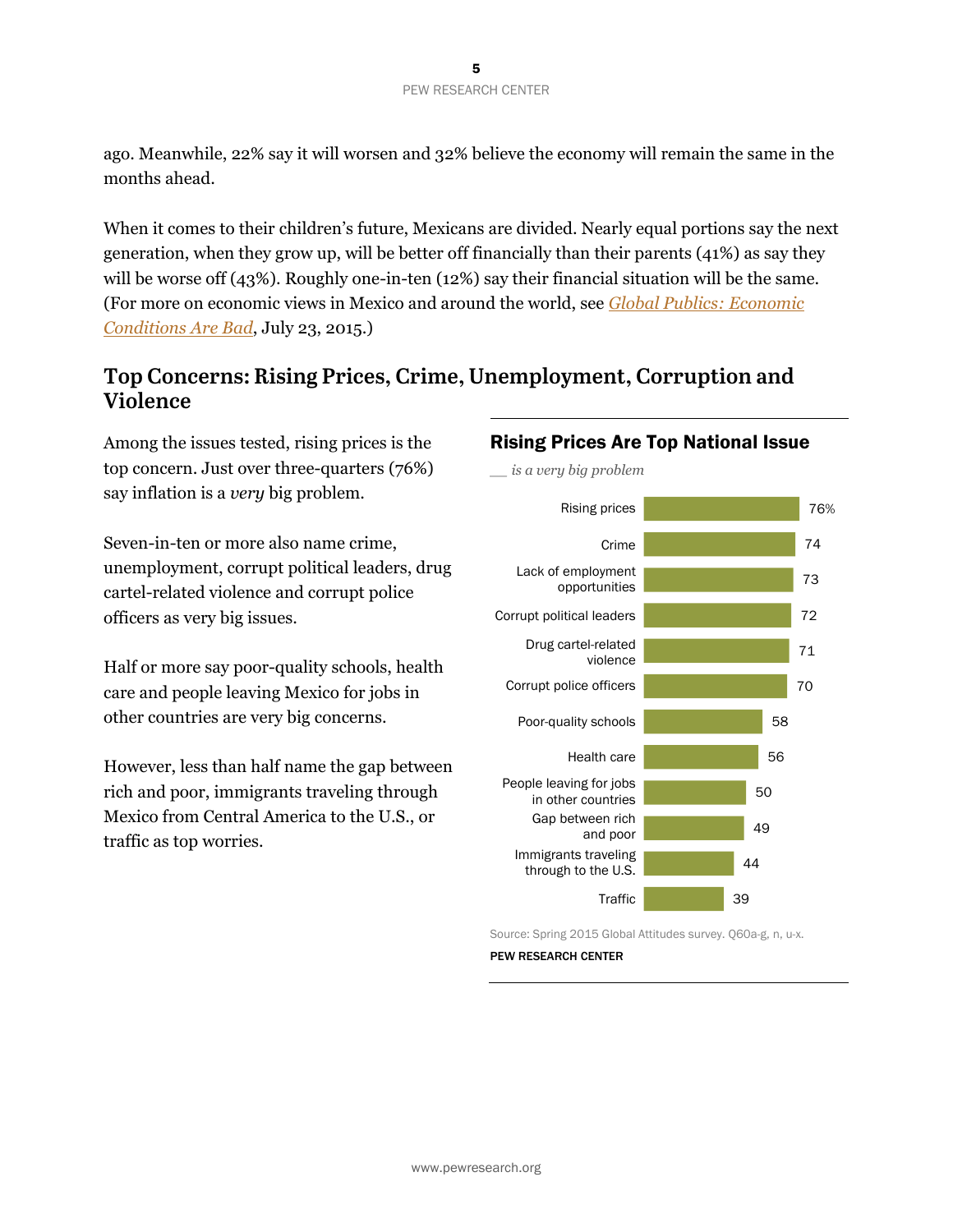ago. Meanwhile, 22% say it will worsen and 32% believe the economy will remain the same in the months ahead.

When it comes to their children's future, Mexicans are divided. Nearly equal portions say the next generation, when they grow up, will be better off financially than their parents (41%) as say they will be worse off (43%). Roughly one-in-ten (12%) say their financial situation will be the same. (For more on economic views in Mexico and around the world, see *[Global Publics: Economic](http://www.pewglobal.org/2015/07/23/global-publics-economic-conditions-are-bad/)  [Conditions Are Bad](http://www.pewglobal.org/2015/07/23/global-publics-economic-conditions-are-bad/)*, July 23, 2015.)

#### **Top Concerns: Rising Prices, Crime, Unemployment, Corruption and Violence**

Among the issues tested, rising prices is the top concern. Just over three-quarters (76%) say inflation is a *very* big problem.

Seven-in-ten or more also name crime, unemployment, corrupt political leaders, drug cartel-related violence and corrupt police officers as very big issues.

Half or more say poor-quality schools, health care and people leaving Mexico for jobs in other countries are very big concerns.

However, less than half name the gap between rich and poor, immigrants traveling through Mexico from Central America to the U.S., or traffic as top worries.

#### Rising Prices Are Top National Issue *\_\_ is a very big problem*



Source: Spring 2015 Global Attitudes survey. Q60a-g, n, u-x.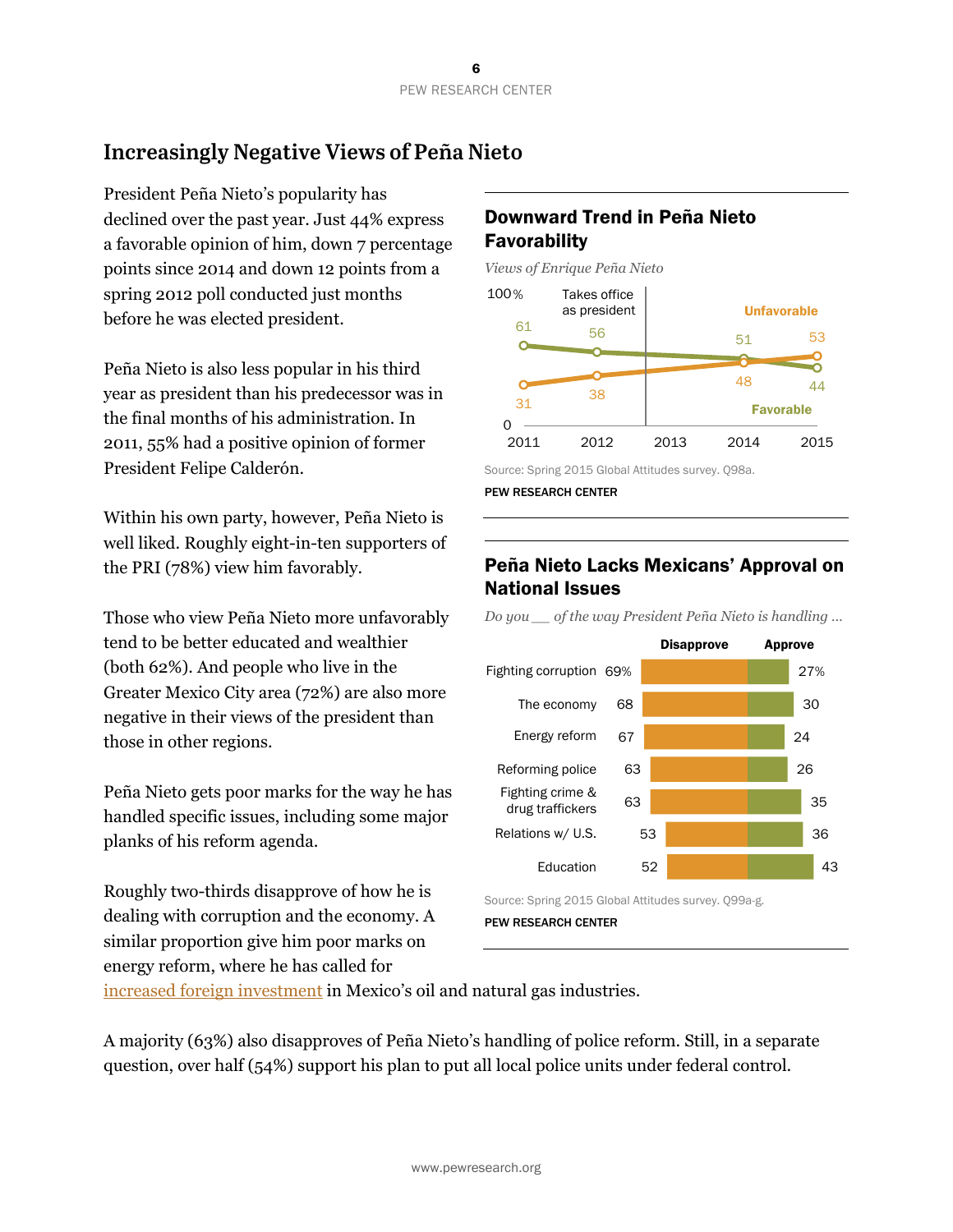# **Increasingly Negative Views of Peña Nieto**

President Peña Nieto's popularity has declined over the past year. Just 44% express a favorable opinion of him, down 7 percentage points since 2014 and down 12 points from a spring 2012 poll conducted just months before he was elected president.

Peña Nieto is also less popular in his third year as president than his predecessor was in the final months of his administration. In 2011, 55% had a positive opinion of former President Felipe Calderón.

Within his own party, however, Peña Nieto is well liked. Roughly eight-in-ten supporters of the PRI (78%) view him favorably.

Those who view Peña Nieto more unfavorably tend to be better educated and wealthier (both 62%). And people who live in the Greater Mexico City area (72%) are also more negative in their views of the president than those in other regions.

Peña Nieto gets poor marks for the way he has handled specific issues, including some major planks of his reform agenda.

Roughly two-thirds disapprove of how he is dealing with corruption and the economy. A similar proportion give him poor marks on energy reform, where he has called for

#### Downward Trend in Peña Nieto **Favorability**

*Views of Enrique Peña Nieto* 



Source: Spring 2015 Global Attitudes survey. Q98a.

PEW RESEARCH CENTER

#### Peña Nieto Lacks Mexicans' Approval on National Issues

*Do you \_\_ of the way President Peña Nieto is handling …*



PEW RESEARCH CENTER

[increased foreign investment i](http://www.nytimes.com/aponline/2015/02/11/world/americas/ap-lt-mexico-oil-woes.html)n Mexico's oil and natural gas industries.

A majority (63%) also disapproves of Peña Nieto's handling of police reform. Still, in a separate question, over half (54%) support his plan to put all local police units under federal control.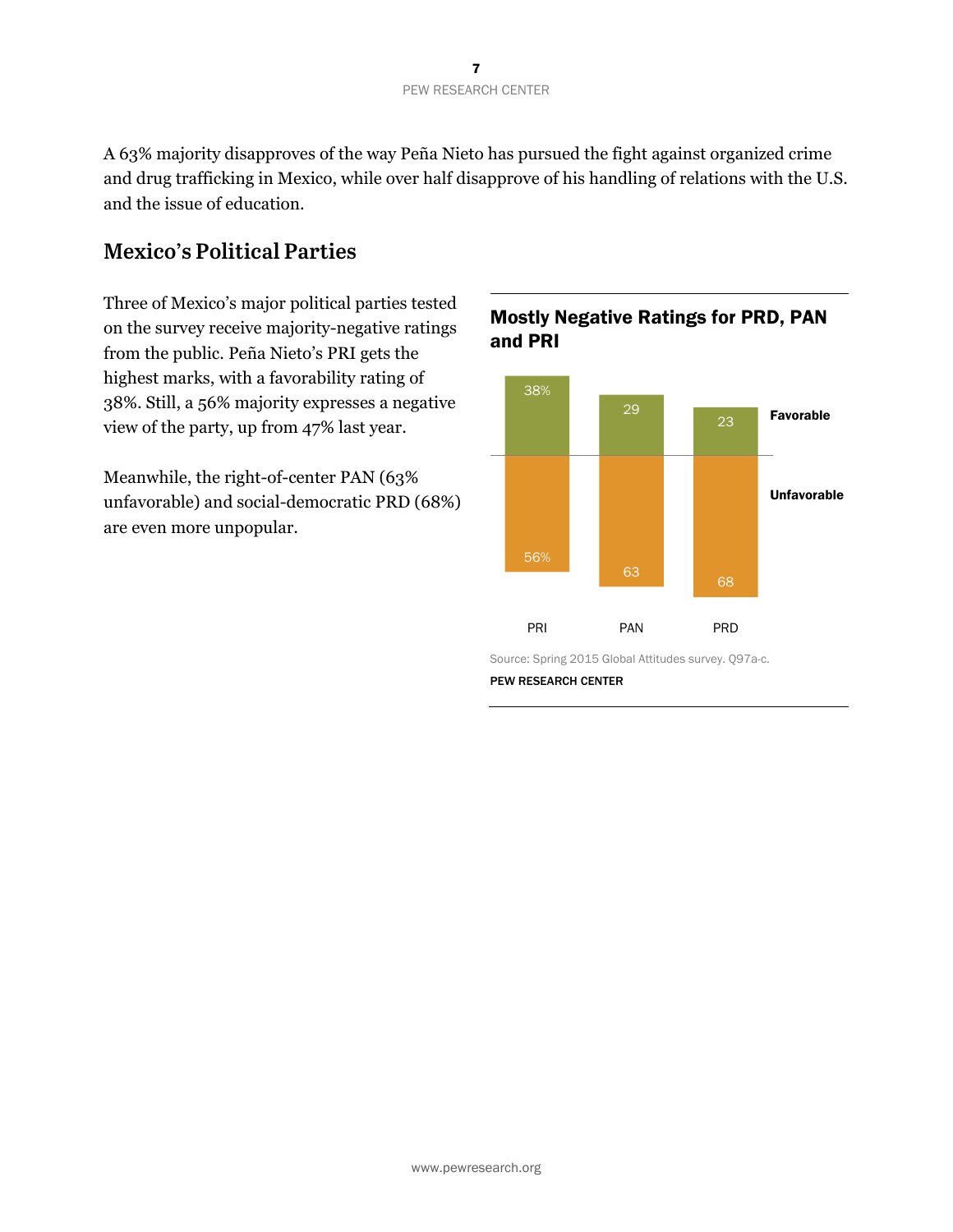A 63% majority disapproves of the way Peña Nieto has pursued the fight against organized crime and drug trafficking in Mexico, while over half disapprove of his handling of relations with the U.S. and the issue of education.

### **Mexico's Political Parties**

Three of Mexico's major political parties tested on the survey receive majority-negative ratings from the public. Peña Nieto's PRI gets the highest marks, with a favorability rating of 38%. Still, a 56% majority expresses a negative view of the party, up from 47% last year.

Meanwhile, the right-of-center PAN (63% unfavorable) and social-democratic PRD (68%) are even more unpopular.



#### Mostly Negative Ratings for PRD, PAN and PRI

Source: Spring 2015 Global Attitudes survey. Q97a-c.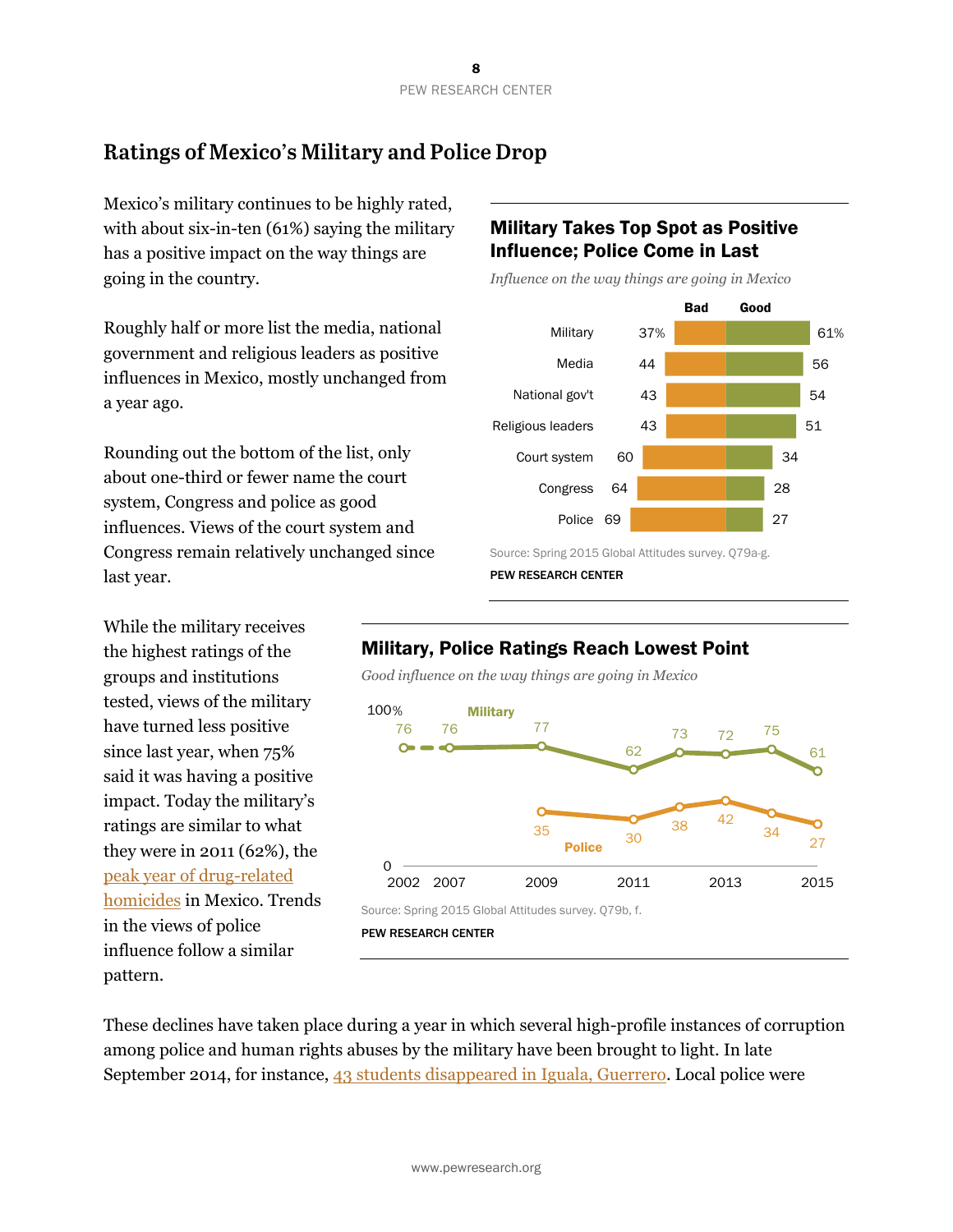# **Ratings of Mexico's Military and Police Drop**

Mexico's military continues to be highly rated, with about six-in-ten (61%) saying the military has a positive impact on the way things are going in the country.

Roughly half or more list the media, national government and religious leaders as positive influences in Mexico, mostly unchanged from a year ago.

Rounding out the bottom of the list, only about one-third or fewer name the court system, Congress and police as good influences. Views of the court system and Congress remain relatively unchanged since last year.

While the military receives the highest ratings of the groups and institutions tested, views of the military have turned less positive since last year, when 75% said it was having a positive impact. Today the military's ratings are similar to what they were in 2011 (62%), the [peak year of drug-related](https://justiceinmexico.org/wp-content/uploads/2015/04/2015-Drug-Violence-in-Mexico-Report.pdf)  [homicides](https://justiceinmexico.org/wp-content/uploads/2015/04/2015-Drug-Violence-in-Mexico-Report.pdf) in Mexico. Trends in the views of police influence follow a similar pattern.

#### Military Takes Top Spot as Positive Influence; Police Come in Last

*Influence on the way things are going in Mexico* 



Source: Spring 2015 Global Attitudes survey. Q79a-g.

PEW RESEARCH CENTER

#### Military, Police Ratings Reach Lowest Point

*Good influence on the way things are going in Mexico* 



PEW RESEARCH CENTER

These declines have taken place during a year in which several high-profile instances of corruption among police and human rights abuses by the military have been brought to light. In late September 2014, for instance, [43 students disappeared in Iguala, Guerrero.](http://www.bbc.com/news/world-latin-america-29963387) Local police were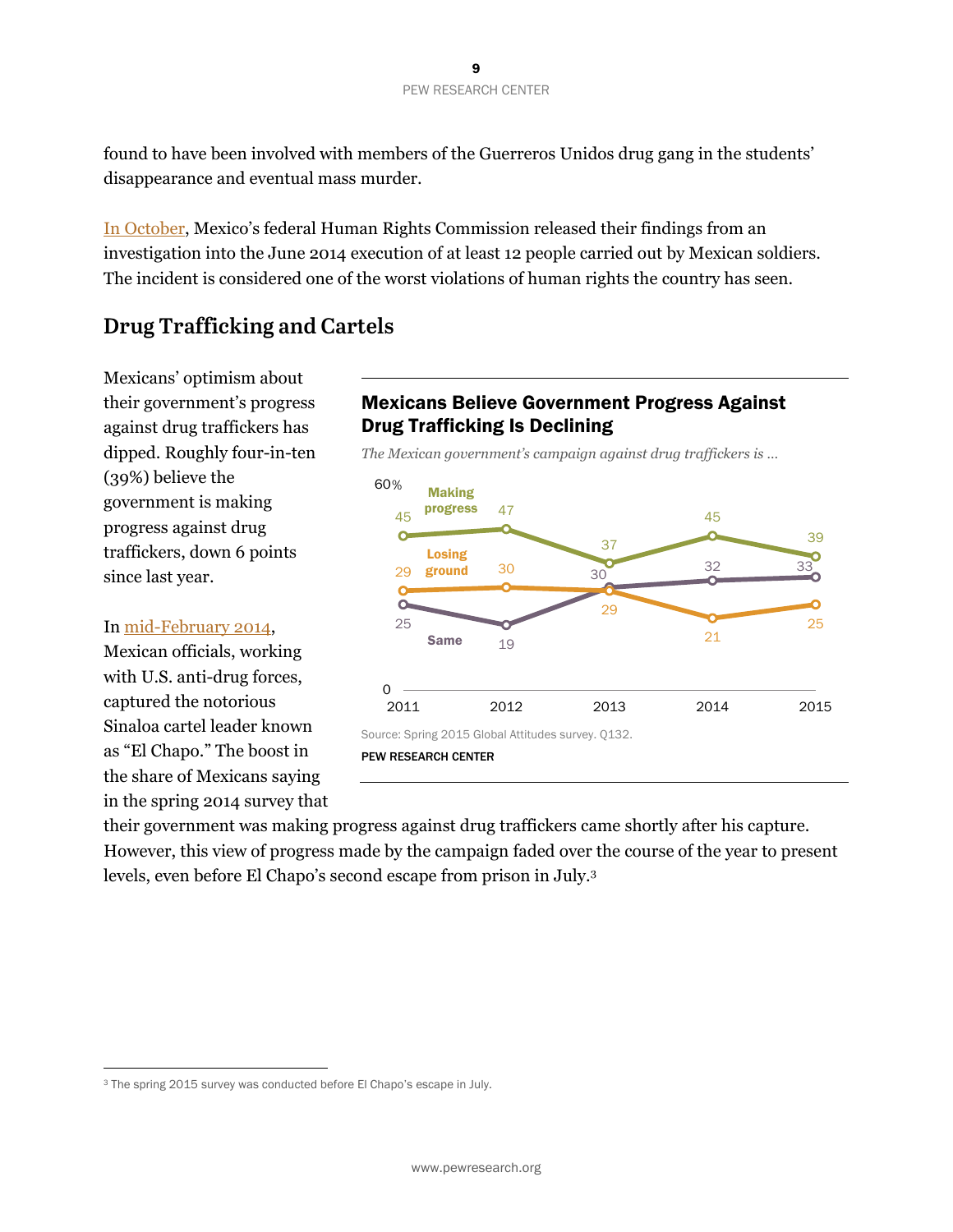found to have been involved with members of the Guerreros Unidos drug gang in the students' disappearance and eventual mass murder.

[In October,](http://www.nytimes.com/2014/10/22/world/americas/mexican-military-executed-at-least-12-federal-panel-says.html?_r=1) Mexico's federal Human Rights Commission released their findings from an investigation into the June 2014 execution of at least 12 people carried out by Mexican soldiers. The incident is considered one of the worst violations of human rights the country has seen.

### **Drug Trafficking and Cartels**

Mexicans' optimism about their government's progress against drug traffickers has dipped. Roughly four-in-ten (39%) believe the government is making progress against drug traffickers, down 6 points since last year.

#### In [mid-February 2014,](http://www.bbc.com/news/uk-26308203)

 $\overline{a}$ 

Mexican officials, working with U.S. anti-drug forces, captured the notorious Sinaloa cartel leader known as "El Chapo." The boost in the share of Mexicans saying in the spring 2014 survey that

#### Mexicans Believe Government Progress Against Drug Trafficking Is Declining

*The Mexican government's campaign against drug traffickers is …* 



PEW RESEARCH CENTER

their government was making progress against drug traffickers came shortly after his capture. However, this view of progress made by the campaign faded over the course of the year to present levels, even before El Chapo's second escape from prison in July.3

<sup>&</sup>lt;sup>3</sup> The spring 2015 survey was conducted before El Chapo's escape in July.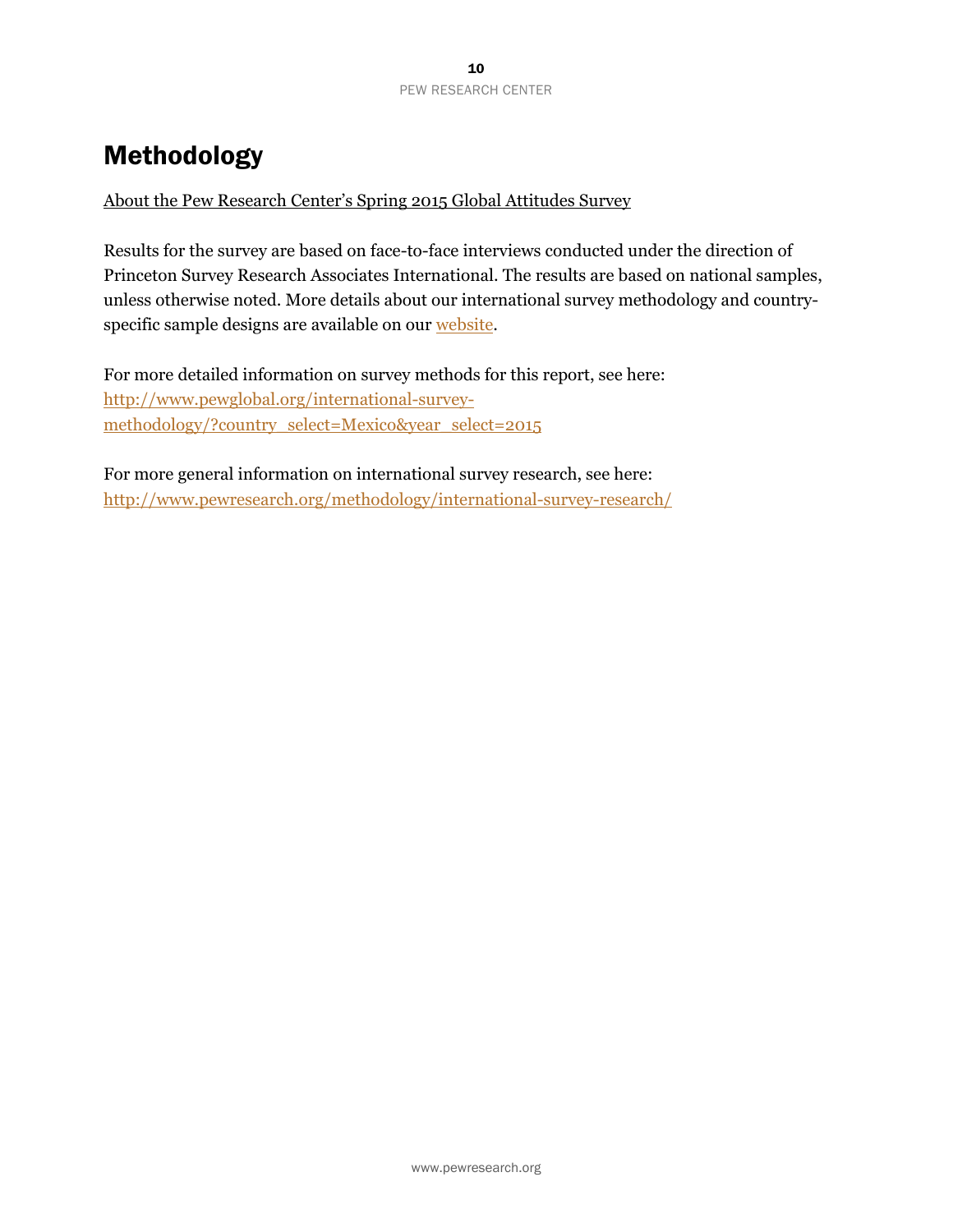# Methodology

About the Pew Research Center's Spring 2015 Global Attitudes Survey

Results for the survey are based on face-to-face interviews conducted under the direction of Princeton Survey Research Associates International. The results are based on national samples, unless otherwise noted. More details about our international survey methodology and countryspecific sample designs are available on our [website.](http://www.pewglobal.org/international-survey-methodology/?country_select=Mexico&year_select=2015)

For more detailed information on survey methods for this report, see here: http://www.pewglobal.org/international-surveymethodology/?country\_select=Mexico&year\_select=2015

For more general information on international survey research, see here: http://www.pewresearch.org/methodology/international-survey-research/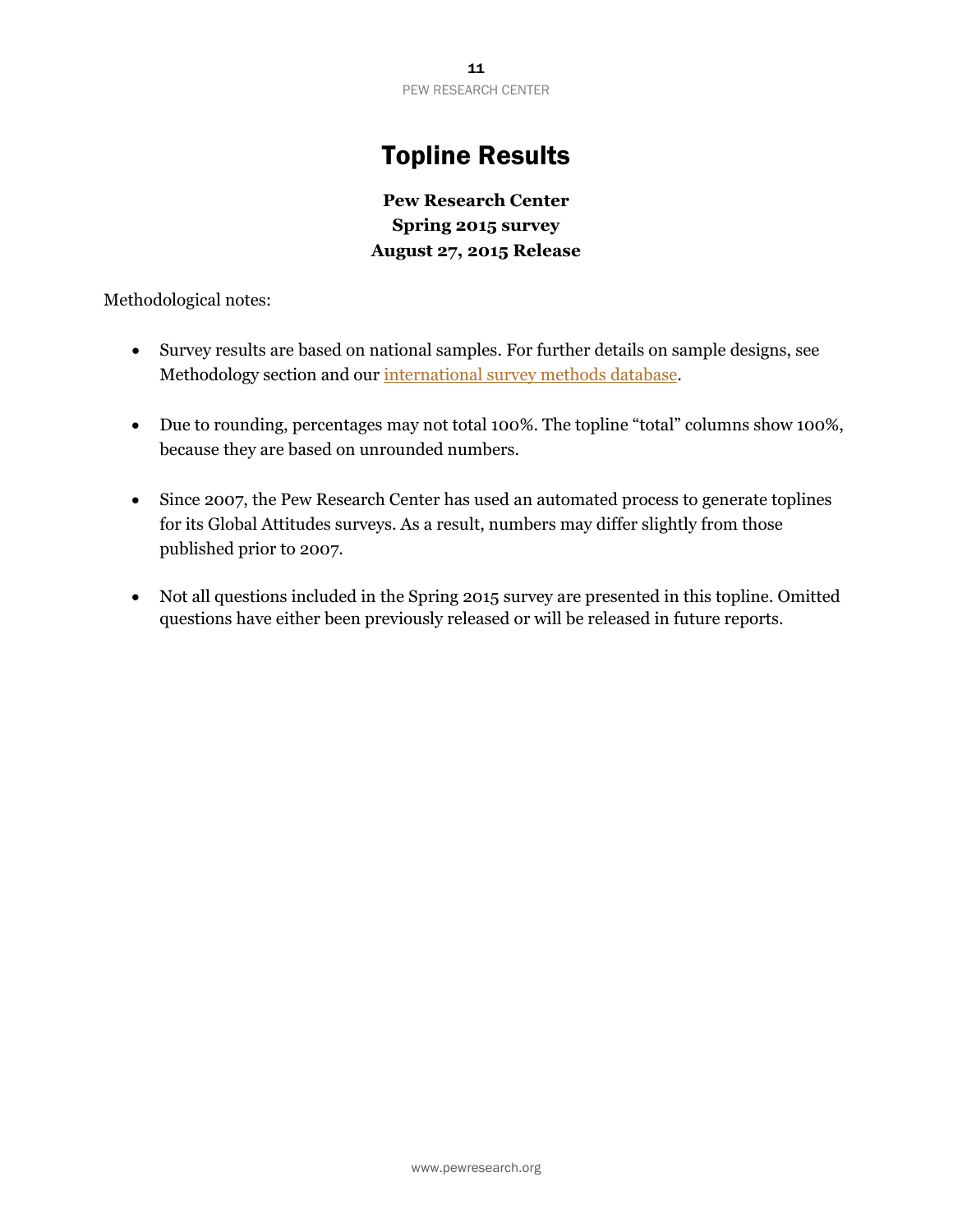# Topline Results

**Pew Research Center Spring 2015 survey August 27, 2015 Release** 

Methodological notes:

- Survey results are based on national samples. For further details on sample designs, see Methodology section and our [international survey methods database.](http://www.pewglobal.org/methods-database/)
- Due to rounding, percentages may not total 100%. The topline "total" columns show 100%, because they are based on unrounded numbers.
- Since 2007, the Pew Research Center has used an automated process to generate toplines for its Global Attitudes surveys. As a result, numbers may differ slightly from those published prior to 2007.
- Not all questions included in the Spring 2015 survey are presented in this topline. Omitted questions have either been previously released or will be released in future reports.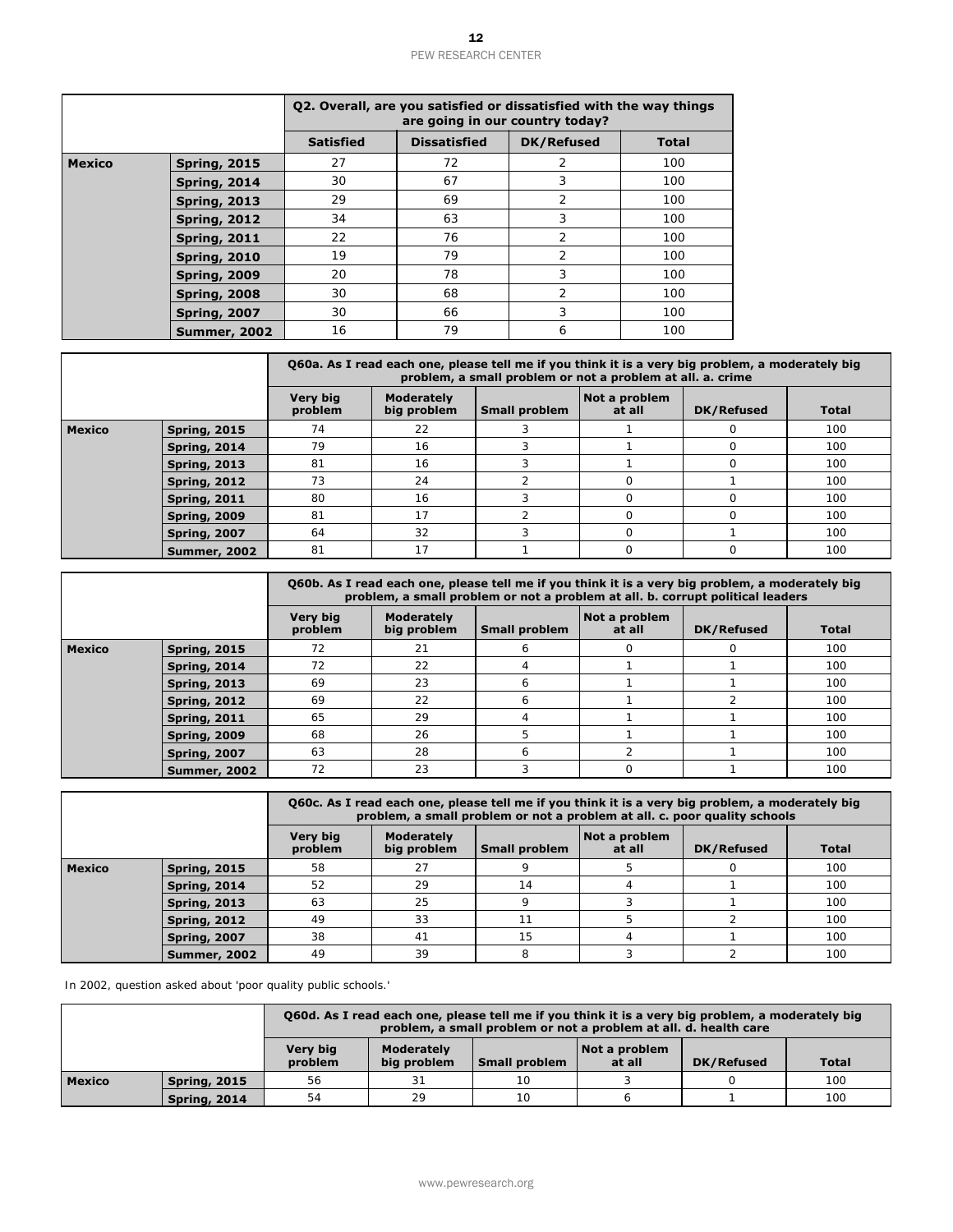|               |                                                              | Q2. Overall, are you satisfied or dissatisfied with the way things            |                                  |                     | are going in our country today?                                    |                         |                                |
|---------------|--------------------------------------------------------------|-------------------------------------------------------------------------------|----------------------------------|---------------------|--------------------------------------------------------------------|-------------------------|--------------------------------|
|               |                                                              | <b>Satisfied</b>                                                              |                                  | <b>Dissatisfied</b> | <b>DK/Refused</b>                                                  | <b>Total</b>            |                                |
| <b>Mexico</b> | <b>Spring, 2015</b>                                          | 27                                                                            |                                  | 72                  | 2                                                                  | 100                     |                                |
|               | <b>Spring, 2014</b>                                          | 30                                                                            |                                  | 67                  | 3                                                                  | 100                     |                                |
|               | <b>Spring, 2013</b>                                          | 29                                                                            |                                  | 69                  | 2                                                                  | 100                     |                                |
|               | <b>Spring, 2012</b>                                          | 34<br>22                                                                      |                                  | 63<br>76            | 3<br>2                                                             | 100<br>100              |                                |
|               | <b>Spring, 2011</b><br><b>Spring, 2010</b>                   | 19                                                                            |                                  | 79                  | 2                                                                  | 100                     |                                |
|               | <b>Spring, 2009</b>                                          | 20                                                                            |                                  | 78                  | 3                                                                  | 100                     |                                |
|               | <b>Spring, 2008</b>                                          | 30                                                                            |                                  | 68                  | 2                                                                  | 100                     |                                |
|               | <b>Spring, 2007</b>                                          | 30                                                                            |                                  | 66                  | 3                                                                  | 100                     |                                |
|               | <b>Summer, 2002</b>                                          | 16                                                                            |                                  | 79                  | 6                                                                  | 100                     |                                |
|               |                                                              | Q60a. As I read each one, please tell me if you think it is a very big proble |                                  |                     | problem, a small problem or not a problem at all. a. crii          |                         |                                |
|               |                                                              | <b>Very big</b><br>problem                                                    | Moderately<br>big problem        |                     | <b>Small problem</b>                                               | Not a problem<br>at all | DK/Ret                         |
| <b>Mexico</b> | <b>Spring, 2015</b>                                          | 74                                                                            | 22                               |                     | 3                                                                  | 1                       | $\mathbf 0$                    |
|               | <b>Spring, 2014</b>                                          | 79                                                                            | 16                               |                     | 3                                                                  | $\mathbf{1}$            | 0                              |
|               | <b>Spring, 2013</b>                                          | 81                                                                            | 16                               |                     | 3                                                                  | $\mathbf{1}$            | 0                              |
|               | <b>Spring, 2012</b>                                          | 73                                                                            | 24                               |                     | 2                                                                  | $\mathsf{O}$            | $\mathbf{1}$                   |
|               | <b>Spring, 2011</b><br><b>Spring, 2009</b>                   | 80<br>81                                                                      | 16<br>17                         |                     | 3<br>2                                                             | $\mathsf{O}$<br>0       | 0<br>0                         |
|               | <b>Spring, 2007</b>                                          | 64                                                                            | 32                               |                     | 3                                                                  | 0                       |                                |
|               | <b>Summer, 2002</b>                                          | 81                                                                            | 17                               |                     | 1                                                                  | 0                       | 0                              |
|               |                                                              | Q60b. As I read each one, please tell me if you think it is a very big proble |                                  |                     |                                                                    |                         |                                |
|               |                                                              | <b>Very big</b>                                                               | <b>Moderately</b>                |                     | problem, a small problem or not a problem at all. b. corrupt polit | Not a problem           |                                |
|               |                                                              | problem                                                                       | big problem                      |                     | <b>Small problem</b>                                               | at all                  | DK/Ret                         |
| <b>Mexico</b> | <b>Spring, 2015</b><br><b>Spring, 2014</b>                   | 72<br>72                                                                      | 21<br>22                         |                     | 6<br>4                                                             | $\circ$<br>$\mathbf{1}$ | 0<br>$\mathbf{1}$              |
|               | <b>Spring, 2013</b>                                          | 69                                                                            | 23                               |                     | 6                                                                  | 1                       |                                |
|               | <b>Spring, 2012</b>                                          | 69                                                                            | 22                               |                     | 6                                                                  | $\mathbf{1}$            |                                |
|               | <b>Spring, 2011</b>                                          | 65                                                                            | 29                               |                     | 4                                                                  | $\mathbf{1}$            |                                |
|               | Spring, 2009                                                 | 68                                                                            | 26                               |                     | 5                                                                  | 1                       |                                |
|               | <b>Spring, 2007</b><br><b>Summer, 2002</b>                   | 63<br>72                                                                      | 28<br>23                         |                     | 6<br>3                                                             | 2<br>0                  |                                |
|               |                                                              |                                                                               |                                  |                     |                                                                    |                         | $\mathbf{1}$                   |
|               |                                                              | Q60c. As I read each one, please tell me if you think it is a very big proble |                                  |                     | problem, a small problem or not a problem at all. c. poor qualit   |                         |                                |
|               |                                                              | <b>Very big</b><br>problem                                                    | <b>Moderately</b><br>big problem |                     | <b>Small problem</b>                                               | Not a problem<br>at all | <b>DK/Ret</b>                  |
| <b>Mexico</b> | <b>Spring, 2015</b>                                          | 58                                                                            | 27                               |                     | 9                                                                  | 5                       | $\mathbf 0$                    |
|               | <b>Spring, 2014</b>                                          | 52                                                                            | 29                               |                     | 14                                                                 | 4                       | 1                              |
|               | <b>Spring, 2013</b>                                          | 63<br>49                                                                      | 25<br>33                         |                     | 9<br>11                                                            | 3<br>5                  | $\mathbf{1}$<br>$\overline{2}$ |
|               | <b>Spring, 2012</b><br><b>Spring, 2007</b>                   | 38                                                                            | 41                               |                     | 15                                                                 | 4                       |                                |
|               | <b>Summer, 2002</b>                                          | 49                                                                            | 39                               |                     | 8                                                                  | 3                       | 1<br>$\overline{2}$            |
|               | In 2002, question asked about 'poor quality public schools.' |                                                                               |                                  |                     |                                                                    |                         |                                |
|               |                                                              | Q60d. As I read each one, please tell me if you think it is a very big proble |                                  |                     | problem, a small problem or not a problem at all. d. health        |                         |                                |
|               |                                                              | Very big<br>problem                                                           | <b>Moderately</b><br>big problem |                     | <b>Small problem</b>                                               | Not a problem<br>at all | DK/Ref                         |
| <b>Mexico</b> | <b>Spring, 2015</b>                                          | 56                                                                            | 31                               |                     | 10                                                                 | 3                       | O                              |
|               |                                                              |                                                                               |                                  |                     |                                                                    |                         |                                |

|        |                     |                                                                                                                                                 | Q60a. As I read each one, please tell me if you think it is a very big problem, a moderately big<br>problem, a small problem or not a problem at all. a. crime |  |  |          |     |  |  |  |
|--------|---------------------|-------------------------------------------------------------------------------------------------------------------------------------------------|----------------------------------------------------------------------------------------------------------------------------------------------------------------|--|--|----------|-----|--|--|--|
|        |                     | <b>Very big</b><br><b>Moderately</b><br>Not a problem<br>big problem<br>problem<br><b>Small problem</b><br>at all<br>DK/Refused<br><b>Total</b> |                                                                                                                                                                |  |  |          |     |  |  |  |
| Mexico | <b>Spring, 2015</b> | 74                                                                                                                                              | 22                                                                                                                                                             |  |  | ∩        | 100 |  |  |  |
|        | <b>Spring, 2014</b> | 79                                                                                                                                              | 16                                                                                                                                                             |  |  | $\Omega$ | 100 |  |  |  |
|        | <b>Spring, 2013</b> | 81                                                                                                                                              | 16                                                                                                                                                             |  |  |          | 100 |  |  |  |
|        | <b>Spring, 2012</b> | 73                                                                                                                                              | 24                                                                                                                                                             |  |  |          | 100 |  |  |  |
|        | <b>Spring, 2011</b> | 80                                                                                                                                              | 16                                                                                                                                                             |  |  | $\Omega$ | 100 |  |  |  |
|        | <b>Spring, 2009</b> | 81                                                                                                                                              | 17                                                                                                                                                             |  |  | $\Omega$ | 100 |  |  |  |
|        | <b>Spring, 2007</b> | 64                                                                                                                                              | 32                                                                                                                                                             |  |  |          | 100 |  |  |  |
|        | <b>Summer, 2002</b> | 81                                                                                                                                              | 17                                                                                                                                                             |  |  |          | 100 |  |  |  |

|               |                     |                     |                           |                      | 060b. As I read each one, please tell me if you think it is a very big problem, a moderately big<br>problem, a small problem or not a problem at all. b. corrupt political leaders |            |              |
|---------------|---------------------|---------------------|---------------------------|----------------------|------------------------------------------------------------------------------------------------------------------------------------------------------------------------------------|------------|--------------|
|               |                     | Very big<br>problem | Moderately<br>big problem | <b>Small problem</b> | Not a problem<br>at all                                                                                                                                                            | DK/Refused | <b>Total</b> |
| <b>Mexico</b> | <b>Spring, 2015</b> | 72                  | 21                        | <sub>6</sub>         |                                                                                                                                                                                    | $\Omega$   | 100          |
|               | <b>Spring, 2014</b> | 72                  | 22                        |                      |                                                                                                                                                                                    |            | 100          |
|               | <b>Spring, 2013</b> | 69                  | 23                        | 6                    |                                                                                                                                                                                    |            | 100          |
|               | <b>Spring, 2012</b> | 69                  | 22                        | 6                    |                                                                                                                                                                                    |            | 100          |
|               | <b>Spring, 2011</b> | 65                  | 29                        |                      |                                                                                                                                                                                    |            | 100          |
|               | <b>Spring, 2009</b> | 68                  | 26                        | 5                    |                                                                                                                                                                                    |            | 100          |
|               | <b>Spring, 2007</b> | 63                  | 28                        | 6                    |                                                                                                                                                                                    |            | 100          |
|               | <b>Summer, 2002</b> | 72                  | 23                        | 3                    |                                                                                                                                                                                    |            | 100          |

|               |                     | Q60c. As I read each one, please tell me if you think it is a very big problem, a moderately big<br>problem, a small problem or not a problem at all. c. poor quality schools |                                  |                      |                         |            |              |  |  |
|---------------|---------------------|-------------------------------------------------------------------------------------------------------------------------------------------------------------------------------|----------------------------------|----------------------|-------------------------|------------|--------------|--|--|
|               |                     | Very big<br>problem                                                                                                                                                           | <b>Moderately</b><br>big problem | <b>Small problem</b> | Not a problem<br>at all | DK/Refused | <b>Total</b> |  |  |
| <b>Mexico</b> | <b>Spring, 2015</b> | 58                                                                                                                                                                            | 27                               |                      |                         |            | 100          |  |  |
|               | <b>Spring, 2014</b> | 52                                                                                                                                                                            | 29                               | 14                   |                         |            | 100          |  |  |
|               | <b>Spring, 2013</b> | 63                                                                                                                                                                            | 25                               | Q                    |                         |            | 100          |  |  |
|               | <b>Spring, 2012</b> | 49                                                                                                                                                                            | 33                               |                      |                         |            | 100          |  |  |
|               | <b>Spring, 2007</b> | 38                                                                                                                                                                            | 41                               | 15                   |                         |            | 100          |  |  |
|               | Summer, 2002        | 49                                                                                                                                                                            | 39                               | 8                    |                         |            | 100          |  |  |

|               |                     |                     |                           |                      | 060d. As I read each one, please tell me if you think it is a very big problem, a moderately big<br>problem, a small problem or not a problem at all. d. health care |            |              |
|---------------|---------------------|---------------------|---------------------------|----------------------|----------------------------------------------------------------------------------------------------------------------------------------------------------------------|------------|--------------|
|               |                     | Very big<br>problem | Moderately<br>big problem | <b>Small problem</b> | Not a problem<br>at all                                                                                                                                              | DK/Refused | <b>Total</b> |
| <b>Mexico</b> | <b>Spring, 2015</b> | 56                  | 31                        | 10                   |                                                                                                                                                                      |            | 100          |
|               | <b>Spring, 2014</b> | 54                  | 29                        | 10                   |                                                                                                                                                                      |            | 100          |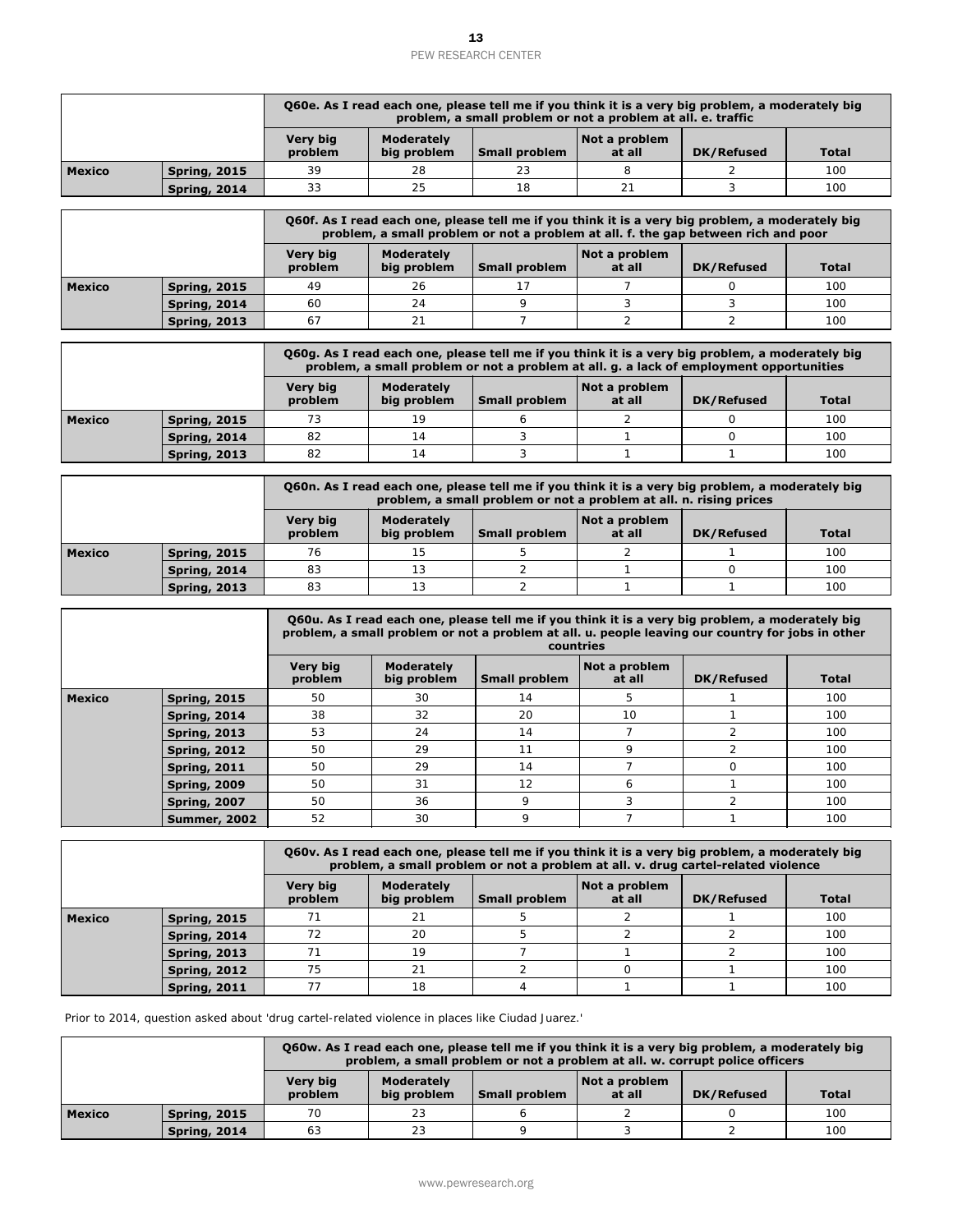|               |                     |                     |                           |                      | Q60e. As I read each one, please tell me if you think it is a very big problem, a moderately big<br>problem, a small problem or not a problem at all. e. traffic |            |              |
|---------------|---------------------|---------------------|---------------------------|----------------------|------------------------------------------------------------------------------------------------------------------------------------------------------------------|------------|--------------|
|               |                     | Very big<br>problem | Moderately<br>big problem | <b>Small problem</b> | Not a problem<br>at all                                                                                                                                          | DK/Refused | <b>Total</b> |
| <b>Mexico</b> | <b>Spring, 2015</b> | 39                  | 28                        | 23                   |                                                                                                                                                                  |            | 100          |
|               | <b>Spring, 2014</b> | 33                  | 25                        | 18                   |                                                                                                                                                                  |            | 100          |

|               |                     |                     |                                  |               | Q60f. As I read each one, please tell me if you think it is a very big problem, a moderately big<br>problem, a small problem or not a problem at all. f. the gap between rich and poor |            |              |
|---------------|---------------------|---------------------|----------------------------------|---------------|----------------------------------------------------------------------------------------------------------------------------------------------------------------------------------------|------------|--------------|
|               |                     | Very big<br>problem | <b>Moderately</b><br>big problem | Small problem | Not a problem<br>at all                                                                                                                                                                | DK/Refused | <b>Total</b> |
| <b>Mexico</b> | <b>Spring, 2015</b> | 49                  | 26                               |               |                                                                                                                                                                                        |            | 100          |
|               | <b>Spring, 2014</b> | 60                  | 24                               |               |                                                                                                                                                                                        |            | 100          |
|               | <b>Spring, 2013</b> | 67                  |                                  |               |                                                                                                                                                                                        |            | 100          |

|                     |                     |                     |                           |               | Q60g. As I read each one, please tell me if you think it is a very big problem, a moderately big<br>problem, a small problem or not a problem at all. g. a lack of employment opportunities |                   |              |
|---------------------|---------------------|---------------------|---------------------------|---------------|---------------------------------------------------------------------------------------------------------------------------------------------------------------------------------------------|-------------------|--------------|
|                     |                     | Very big<br>problem | Moderately<br>big problem | Small problem | Not a problem<br>at all                                                                                                                                                                     | <b>DK/Refused</b> | <b>Total</b> |
| Mexico              | <b>Spring, 2015</b> | 73                  | 19                        |               |                                                                                                                                                                                             |                   | 100          |
| <b>Spring, 2014</b> |                     | 82                  | 14                        |               |                                                                                                                                                                                             |                   | 100          |
|                     | <b>Spring, 2013</b> | 82                  | 14                        |               |                                                                                                                                                                                             |                   | 100          |

|               |                     |                     |                           |               | Q60n. As I read each one, please tell me if you think it is a very big problem, a moderately big<br>problem, a small problem or not a problem at all. n. rising prices |            |              |
|---------------|---------------------|---------------------|---------------------------|---------------|------------------------------------------------------------------------------------------------------------------------------------------------------------------------|------------|--------------|
|               |                     | Very big<br>problem | Moderately<br>big problem | Small problem | Not a problem<br>at all                                                                                                                                                | DK/Refused | <b>Total</b> |
| <b>Mexico</b> | <b>Spring, 2015</b> | 76                  | 15                        |               |                                                                                                                                                                        |            | 100          |
|               | <b>Spring, 2014</b> | 83                  | 13                        |               |                                                                                                                                                                        |            | 100          |
|               | <b>Spring, 2013</b> | 83                  | 13                        |               |                                                                                                                                                                        |            | 100          |

|                                |                                                                                                  |                            |                                  | problem, a small problem or not a problem at all. e. traffic       |                                      | Q60e. As I read each one, please tell me if you think it is a very big problem, a moderately big                                                                                                                      |              |
|--------------------------------|--------------------------------------------------------------------------------------------------|----------------------------|----------------------------------|--------------------------------------------------------------------|--------------------------------------|-----------------------------------------------------------------------------------------------------------------------------------------------------------------------------------------------------------------------|--------------|
|                                |                                                                                                  | <b>Very big</b><br>problem | <b>Moderately</b><br>big problem | <b>Small problem</b>                                               | Not a problem<br>at all              | <b>DK/Refused</b>                                                                                                                                                                                                     | <b>Total</b> |
| Mexico                         | <b>Spring, 2015</b>                                                                              | 39                         | 28                               | 23                                                                 | 8                                    | 2                                                                                                                                                                                                                     | 100          |
|                                | <b>Spring, 2014</b>                                                                              | 33                         | 25                               | 18                                                                 | 21                                   | 3                                                                                                                                                                                                                     | 100          |
|                                |                                                                                                  |                            |                                  |                                                                    |                                      | Q60f. As I read each one, please tell me if you think it is a very big problem, a moderately big                                                                                                                      |              |
|                                |                                                                                                  | <b>Very big</b>            | <b>Moderately</b>                |                                                                    | Not a problem                        | problem, a small problem or not a problem at all. f. the gap between rich and poor                                                                                                                                    |              |
|                                |                                                                                                  | problem                    | big problem                      | <b>Small problem</b>                                               | at all                               | DK/Refused                                                                                                                                                                                                            | <b>Total</b> |
| Mexico                         | <b>Spring, 2015</b>                                                                              | 49<br>60                   | 26<br>24                         | 17<br>9                                                            | $\overline{7}$<br>3                  | 0<br>3                                                                                                                                                                                                                | 100<br>100   |
|                                | <b>Spring, 2014</b>                                                                              | 67                         | 21                               | $\overline{7}$                                                     | $\overline{2}$                       | 2                                                                                                                                                                                                                     | 100          |
|                                | <b>Spring, 2013</b>                                                                              |                            |                                  |                                                                    |                                      |                                                                                                                                                                                                                       |              |
|                                |                                                                                                  |                            |                                  |                                                                    |                                      | Q60g. As I read each one, please tell me if you think it is a very big problem, a moderately big<br>problem, a small problem or not a problem at all. g. a lack of employment opportunities                           |              |
|                                |                                                                                                  | <b>Very big</b><br>problem | <b>Moderately</b><br>big problem | <b>Small problem</b>                                               | Not a problem<br>at all              | DK/Refused                                                                                                                                                                                                            | <b>Total</b> |
| Mexico                         | <b>Spring, 2015</b>                                                                              | 73                         | 19                               | 6                                                                  | 2                                    | 0                                                                                                                                                                                                                     | 100          |
|                                | <b>Spring, 2014</b>                                                                              | 82                         | 14                               | 3                                                                  | $\mathbf{1}$                         | $\mathbf 0$                                                                                                                                                                                                           | 100          |
|                                | <b>Spring, 2013</b>                                                                              | 82                         | 14                               | 3                                                                  | $\mathbf{1}$                         | $\mathbf{1}$                                                                                                                                                                                                          | 100          |
|                                |                                                                                                  |                            |                                  | problem, a small problem or not a problem at all. n. rising prices |                                      | Q60n. As I read each one, please tell me if you think it is a very big problem, a moderately big                                                                                                                      |              |
|                                |                                                                                                  | <b>Very big</b><br>problem | Moderately<br>big problem        | <b>Small problem</b>                                               | Not a problem<br>at all              | <b>DK/Refused</b>                                                                                                                                                                                                     | <b>Total</b> |
| Mexico                         | <b>Spring, 2015</b>                                                                              | 76                         | 15                               | 5                                                                  | $\overline{2}$                       | 1                                                                                                                                                                                                                     | 100          |
|                                |                                                                                                  |                            |                                  |                                                                    |                                      |                                                                                                                                                                                                                       |              |
|                                | <b>Spring, 2014</b>                                                                              | 83                         | 13                               | $\overline{2}$                                                     | $\mathbf{1}$                         | $\mathbf 0$                                                                                                                                                                                                           | 100          |
|                                | <b>Spring, 2013</b>                                                                              | 83                         | 13                               | $\overline{2}$                                                     | $\mathbf{1}$                         | $\mathbf{1}$<br>Q60u. As I read each one, please tell me if you think it is a very big problem, a moderately big<br>problem, a small problem or not a problem at all. u. people leaving our country for jobs in other | 100          |
|                                |                                                                                                  | Very big<br>problem        | <b>Moderately</b><br>big problem | <b>Small problem</b>                                               | countries<br>Not a problem<br>at all | <b>DK/Refused</b>                                                                                                                                                                                                     | <b>Total</b> |
|                                | <b>Spring, 2015</b>                                                                              | 50                         | 30                               | 14                                                                 | 5                                    | 1                                                                                                                                                                                                                     | 100          |
|                                | <b>Spring, 2014</b>                                                                              | 38                         | 32                               | 20                                                                 | 10                                   | $\mathbf{1}$                                                                                                                                                                                                          | 100          |
|                                | <b>Spring, 2013</b>                                                                              | 53                         | 24                               | 14                                                                 | $\overline{7}$                       | $\overline{c}$                                                                                                                                                                                                        | 100          |
|                                | <b>Spring, 2012</b>                                                                              | 50                         | 29                               | 11                                                                 | 9                                    | 2                                                                                                                                                                                                                     | 100          |
|                                | <b>Spring, 2011</b>                                                                              | 50                         | 29                               | 14                                                                 | $\overline{7}$                       | 0                                                                                                                                                                                                                     | 100          |
|                                | <b>Spring, 2009</b>                                                                              | 50                         | 31                               | 12                                                                 | 6                                    | 1                                                                                                                                                                                                                     | 100          |
|                                | <b>Spring, 2007</b>                                                                              | 50                         | 36                               | 9                                                                  | 3                                    | $\overline{2}$                                                                                                                                                                                                        | 100          |
|                                | <b>Summer, 2002</b>                                                                              | 52                         | 30                               | 9                                                                  | $\overline{7}$                       | $\mathbf{1}$                                                                                                                                                                                                          | 100          |
|                                |                                                                                                  |                            |                                  |                                                                    |                                      | Q60v. As I read each one, please tell me if you think it is a very big problem, a moderately big<br>problem, a small problem or not a problem at all. v. drug cartel-related violence                                 |              |
|                                |                                                                                                  | Very big<br>problem        | <b>Moderately</b><br>big problem | <b>Small problem</b>                                               | Not a problem<br>at all              | <b>DK/Refused</b>                                                                                                                                                                                                     | <b>Total</b> |
|                                | <b>Spring, 2015</b>                                                                              | 71                         | 21                               | 5                                                                  | $\overline{2}$                       | 1                                                                                                                                                                                                                     | 100          |
|                                | <b>Spring, 2014</b>                                                                              | 72                         | 20                               | 5                                                                  | $\overline{a}$                       | 2                                                                                                                                                                                                                     | 100          |
|                                | <b>Spring, 2013</b>                                                                              | 71                         | 19                               | 7                                                                  | $\mathbf{1}$                         | $\overline{2}$                                                                                                                                                                                                        | 100          |
|                                | <b>Spring, 2012</b>                                                                              | 75                         | 21                               | $\overline{2}$                                                     | $\mathsf O$                          | 1                                                                                                                                                                                                                     | 100          |
|                                | <b>Spring, 2011</b>                                                                              | 77                         | 18                               | $\overline{4}$                                                     | $\mathbf{1}$                         | $\mathbf{1}$                                                                                                                                                                                                          | 100          |
|                                | Prior to 2014, question asked about 'drug cartel-related violence in places like Ciudad Juarez.' |                            |                                  |                                                                    |                                      | Q60w. As I read each one, please tell me if you think it is a very big problem, a moderately big                                                                                                                      |              |
| <b>Mexico</b><br><b>Mexico</b> |                                                                                                  | <b>Very big</b>            | Moderately                       |                                                                    | Not a problem                        | problem, a small problem or not a problem at all. w. corrupt police officers                                                                                                                                          |              |
|                                |                                                                                                  | problem                    | big problem                      | <b>Small problem</b>                                               | at all                               | <b>DK/Refused</b>                                                                                                                                                                                                     | <b>Total</b> |
| Mexico                         | <b>Spring, 2015</b><br><b>Spring, 2014</b>                                                       | 70<br>63                   | 23<br>23                         | 6<br>9                                                             | $\overline{2}$<br>3                  | 0<br>$\overline{2}$                                                                                                                                                                                                   | 100<br>100   |

|               |                     | 060y. As I read each one, please tell me if you think it is a very big problem, a moderately big<br>problem, a small problem or not a problem at all. v. drug cartel-related violence |                           |                      |                         |            |              |  |  |
|---------------|---------------------|---------------------------------------------------------------------------------------------------------------------------------------------------------------------------------------|---------------------------|----------------------|-------------------------|------------|--------------|--|--|
|               |                     | <b>Very big</b><br>problem                                                                                                                                                            | Moderately<br>big problem | <b>Small problem</b> | Not a problem<br>at all | DK/Refused | <b>Total</b> |  |  |
| <b>Mexico</b> | <b>Spring, 2015</b> | 71                                                                                                                                                                                    | 21                        |                      |                         |            | 100          |  |  |
|               | <b>Spring, 2014</b> | 72                                                                                                                                                                                    | 20                        |                      |                         |            | 100          |  |  |
|               | <b>Spring, 2013</b> |                                                                                                                                                                                       | 19                        |                      |                         |            | 100          |  |  |
|               | Spring, 2012        | 75                                                                                                                                                                                    | 21                        |                      |                         |            | 100          |  |  |
|               | <b>Spring, 2011</b> |                                                                                                                                                                                       | 18                        |                      |                         |            | 100          |  |  |

|               |                     |                     |                           |                      | 060w. As I read each one, please tell me if you think it is a very big problem, a moderately big<br>problem, a small problem or not a problem at all. w. corrupt police officers |                   |              |
|---------------|---------------------|---------------------|---------------------------|----------------------|----------------------------------------------------------------------------------------------------------------------------------------------------------------------------------|-------------------|--------------|
|               |                     | Very big<br>problem | Moderately<br>big problem | <b>Small problem</b> | Not a problem<br>at all                                                                                                                                                          | <b>DK/Refused</b> | <b>Total</b> |
| <b>Mexico</b> | <b>Spring, 2015</b> | 70                  | 23                        |                      |                                                                                                                                                                                  |                   | 100          |
|               | <b>Spring, 2014</b> | 63                  | 23                        |                      |                                                                                                                                                                                  |                   | 100          |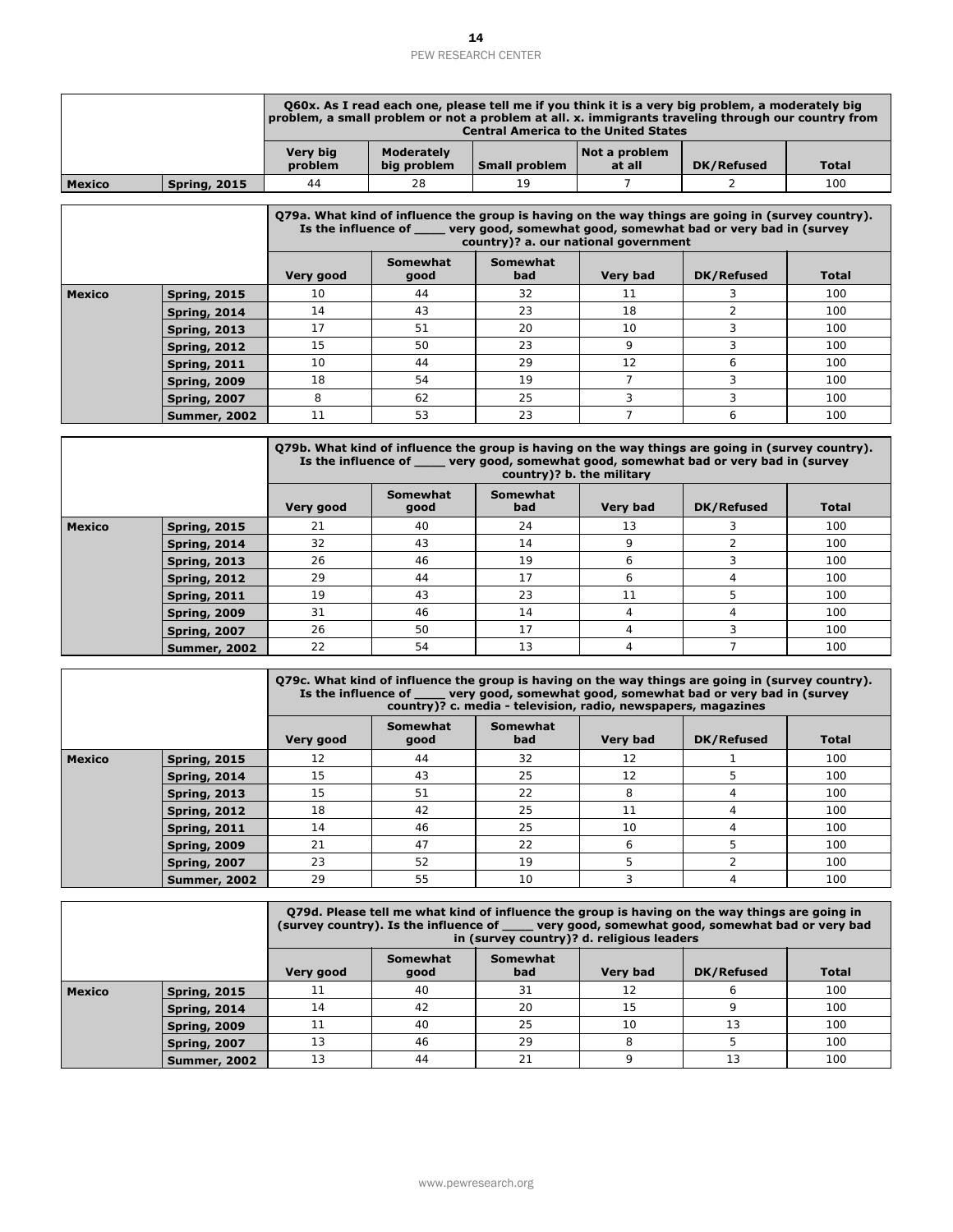|               |                                            |                            |                                  | Q60x. As I read each one, please tell me if you think it is a very big problem, a moderately big<br>problem, a small problem or not a problem at all. x. immigrants traveling through our country from<br><b>Central America to the United States</b> |                         |                   |              |
|---------------|--------------------------------------------|----------------------------|----------------------------------|-------------------------------------------------------------------------------------------------------------------------------------------------------------------------------------------------------------------------------------------------------|-------------------------|-------------------|--------------|
|               |                                            | <b>Very big</b><br>problem | <b>Moderately</b><br>big problem | Small problem                                                                                                                                                                                                                                         | Not a problem<br>at all | <b>DK/Refused</b> | <b>Total</b> |
| <b>Mexico</b> | <b>Spring, 2015</b>                        | 44                         | 28                               | 19                                                                                                                                                                                                                                                    | 7                       | 2                 | 100          |
|               |                                            |                            |                                  | Q79a. What kind of influence the group is having on the way things are going in (survey country).<br>Is the influence of very good, somewhat good, somewhat bad or very bad in (survey<br>country)? a. our national government                        |                         |                   |              |
|               |                                            | Very good                  | Somewhat<br>good                 | Somewhat<br>bad                                                                                                                                                                                                                                       | <b>Very bad</b>         | DK/Refused        | <b>Total</b> |
| <b>Mexico</b> | <b>Spring, 2015</b>                        | 10                         | 44                               | 32                                                                                                                                                                                                                                                    | 11                      | 3                 | 100          |
|               | <b>Spring, 2014</b>                        | 14                         | 43                               | 23                                                                                                                                                                                                                                                    | 18                      | $\overline{2}$    | 100          |
|               | <b>Spring, 2013</b>                        | 17                         | 51                               | 20                                                                                                                                                                                                                                                    | 10                      | 3                 | 100          |
|               | <b>Spring, 2012</b>                        | 15                         | 50                               | 23                                                                                                                                                                                                                                                    | 9                       | 3                 | 100          |
|               | <b>Spring, 2011</b>                        | 10                         | 44                               | 29                                                                                                                                                                                                                                                    | 12                      | 6                 | 100          |
|               | <b>Spring, 2009</b>                        | 18                         | 54                               | 19                                                                                                                                                                                                                                                    | $\overline{7}$          | 3                 | 100          |
|               | <b>Spring, 2007</b><br><b>Summer, 2002</b> | 8<br>11                    | 62<br>53                         | 25<br>23                                                                                                                                                                                                                                              | 3<br>$\overline{7}$     | 3<br>6            | 100<br>100   |
|               |                                            |                            |                                  | Q79b. What kind of influence the group is having on the way things are going in (survey country).<br>Is the influence of _____ very good, somewhat good, somewhat bad or very bad in (survey<br>country)? b. the military                             |                         |                   |              |
|               |                                            | Very good                  | Somewhat<br>good                 | <b>Somewhat</b><br>bad                                                                                                                                                                                                                                | <b>Very bad</b>         | DK/Refused        | <b>Total</b> |
| <b>Mexico</b> | <b>Spring, 2015</b>                        | 21                         | 40                               | 24                                                                                                                                                                                                                                                    | 13                      | 3                 | 100          |
|               |                                            |                            | 43                               | 14                                                                                                                                                                                                                                                    | 9                       | $\overline{2}$    | 100          |
|               | <b>Spring, 2014</b>                        | 32                         |                                  |                                                                                                                                                                                                                                                       |                         |                   |              |
|               | <b>Spring, 2013</b>                        | 26                         | 46                               | 19                                                                                                                                                                                                                                                    | 6                       | 3                 | 100          |
|               | <b>Spring, 2012</b>                        | 29                         | 44                               | 17                                                                                                                                                                                                                                                    | 6                       | $\overline{4}$    | 100          |
|               | <b>Spring, 2011</b>                        | 19                         | 43                               | 23                                                                                                                                                                                                                                                    | 11                      | 5                 | 100          |
|               | <b>Spring, 2009</b>                        | 31                         | 46                               | 14                                                                                                                                                                                                                                                    | $\overline{4}$          | $\overline{4}$    | 100          |
|               | <b>Spring, 2007</b>                        | 26                         | 50                               | 17                                                                                                                                                                                                                                                    | $\overline{4}$          | 3                 | 100          |
|               | <b>Summer, 2002</b>                        | 22                         | 54                               | 13                                                                                                                                                                                                                                                    | 4                       | $\overline{7}$    | 100          |
|               |                                            | Is the influence of        |                                  | Q79c. What kind of influence the group is having on the way things are going in (survey country).<br>very good, somewhat good, somewhat bad or very bad in (survey<br>country)? c. media - television, radio, newspapers, magazines                   |                         |                   |              |
|               |                                            | Very good                  | Somewhat<br>good                 | Somewhat<br>bad                                                                                                                                                                                                                                       | <b>Very bad</b>         | <b>DK/Refused</b> | <b>Total</b> |
|               | <b>Spring, 2015</b>                        | 12                         | 44                               | 32                                                                                                                                                                                                                                                    | 12                      | 1                 | 100          |
|               | <b>Spring, 2014</b>                        | 15                         | 43                               | 25                                                                                                                                                                                                                                                    | 12                      | 5                 | 100          |
|               | <b>Spring, 2013</b>                        | 15                         | 51                               | 22                                                                                                                                                                                                                                                    | 8                       | $\overline{4}$    | 100          |
|               | <b>Spring, 2012</b>                        | 18                         | 42                               | 25                                                                                                                                                                                                                                                    | 11                      | $\overline{4}$    | 100          |
|               | <b>Spring, 2011</b>                        | 14                         | 46                               | 25                                                                                                                                                                                                                                                    | 10                      | $\overline{4}$    | 100          |
|               | <b>Spring, 2009</b>                        | 21                         | 47                               | 22                                                                                                                                                                                                                                                    | 6                       | 5                 | 100          |
|               | <b>Spring, 2007</b>                        | 23                         | 52                               | 19                                                                                                                                                                                                                                                    | 5                       | $\overline{2}$    | 100          |
| <b>Mexico</b> | <b>Summer, 2002</b>                        | 29                         | 55                               | 10<br>079d. Please tell me what kind of influence the group is having on the way things are going in<br>(survey country). Is the influence of _____ very good, somewhat good, somewhat bad or very bad<br>in (survey country)? d. religious leaders   | 3                       | 4                 | 100          |
|               |                                            | Very good                  | <b>Somewhat</b><br>good          | <b>Somewhat</b><br>bad                                                                                                                                                                                                                                | <b>Very bad</b>         | <b>DK/Refused</b> | Total        |
|               | <b>Spring, 2015</b>                        | 11                         | 40                               | 31                                                                                                                                                                                                                                                    | 12                      | 6                 | 100          |
|               | <b>Spring, 2014</b>                        | 14                         | 42                               | 20                                                                                                                                                                                                                                                    | 15                      | 9                 | 100          |
|               | <b>Spring, 2009</b>                        | 11                         | 40                               | 25                                                                                                                                                                                                                                                    | 10                      | 13                | 100          |
| <b>Mexico</b> | <b>Spring, 2007</b>                        | 13                         | 46                               | 29                                                                                                                                                                                                                                                    | 8                       | 5                 | 100          |

|               |                     | Q79b. What kind of influence the group is having on the way things are going in (survey country).<br>Is the influence of very good, somewhat good, somewhat bad or very bad in (survey<br>country)? b. the military |    |    |    |   |     |  |  |
|---------------|---------------------|---------------------------------------------------------------------------------------------------------------------------------------------------------------------------------------------------------------------|----|----|----|---|-----|--|--|
|               |                     | Somewhat<br>Somewhat<br><b>Very bad</b><br>Very good<br>bad<br>DK/Refused<br><b>Total</b><br>good                                                                                                                   |    |    |    |   |     |  |  |
| <b>Mexico</b> | Spring, 2015        | 21                                                                                                                                                                                                                  | 40 | 24 | 13 | 3 | 100 |  |  |
|               | Spring, 2014        | 32                                                                                                                                                                                                                  | 43 | 14 | 9  |   | 100 |  |  |
|               | Spring, 2013        | 26                                                                                                                                                                                                                  | 46 | 19 | 6  |   | 100 |  |  |
|               | Spring, 2012        | 29                                                                                                                                                                                                                  | 44 | 17 | 6  | 4 | 100 |  |  |
|               | <b>Spring, 2011</b> | 19                                                                                                                                                                                                                  | 43 | 23 | 11 | 5 | 100 |  |  |
|               | Spring, 2009        | 31                                                                                                                                                                                                                  | 46 | 14 | 4  | 4 | 100 |  |  |
|               | <b>Spring, 2007</b> | 26                                                                                                                                                                                                                  | 50 | 17 | 4  | ς | 100 |  |  |
|               | <b>Summer, 2002</b> | 22                                                                                                                                                                                                                  | 54 | 13 | 4  |   | 100 |  |  |

|               |                     | O79c. What kind of influence the group is having on the way things are going in (survey country).<br>Is the influence of ______ very good, somewhat good, somewhat bad or very bad in (survey<br>country)? c. media - television, radio, newspapers, magazines |                  |                 |                 |            |              |
|---------------|---------------------|----------------------------------------------------------------------------------------------------------------------------------------------------------------------------------------------------------------------------------------------------------------|------------------|-----------------|-----------------|------------|--------------|
|               |                     | Very good                                                                                                                                                                                                                                                      | Somewhat<br>good | Somewhat<br>bad | <b>Very bad</b> | DK/Refused | <b>Total</b> |
| <b>Mexico</b> | <b>Spring, 2015</b> | 12                                                                                                                                                                                                                                                             | 44               | 32              | 12              |            | 100          |
|               | Spring, 2014        | 15                                                                                                                                                                                                                                                             | 43               | 25              | 12              | 5          | 100          |
|               | <b>Spring, 2013</b> | 15                                                                                                                                                                                                                                                             | 51               | 22              | 8               | 4          | 100          |
|               | <b>Spring, 2012</b> | 18                                                                                                                                                                                                                                                             | 42               | 25              | 11              | 4          | 100          |
|               | <b>Spring, 2011</b> | 14                                                                                                                                                                                                                                                             | 46               | 25              | 10              | 4          | 100          |
|               | <b>Spring, 2009</b> | 21                                                                                                                                                                                                                                                             | 47               | 22              | h               | 5          | 100          |
|               | <b>Spring, 2007</b> | 23                                                                                                                                                                                                                                                             | 52               | 19              | 5               |            | 100          |
|               | <b>Summer, 2002</b> | 29                                                                                                                                                                                                                                                             | 55               | 10 <sup>1</sup> |                 | 4          | 100          |

|               |                     | 079d. Please tell me what kind of influence the group is having on the way things are going in<br>(survey country). Is the influence of _____ very good, somewhat good, somewhat bad or very bad<br>in (survey country)? d. religious leaders |                  |                 |                 |            |              |  |
|---------------|---------------------|-----------------------------------------------------------------------------------------------------------------------------------------------------------------------------------------------------------------------------------------------|------------------|-----------------|-----------------|------------|--------------|--|
|               |                     | Very good                                                                                                                                                                                                                                     | Somewhat<br>good | Somewhat<br>bad | <b>Very bad</b> | DK/Refused | <b>Total</b> |  |
| <b>Mexico</b> | <b>Spring, 2015</b> | 11                                                                                                                                                                                                                                            | 40               | 31              | 12              |            | 100          |  |
|               | <b>Spring, 2014</b> | 14                                                                                                                                                                                                                                            | 42               | 20              | 15              |            | 100          |  |
|               | <b>Spring, 2009</b> |                                                                                                                                                                                                                                               | 40               | 25              | 10              | 13         | 100          |  |
|               | <b>Spring, 2007</b> | 13                                                                                                                                                                                                                                            | 46               | 29              | 8               | 5          | 100          |  |
|               | <b>Summer, 2002</b> | 13                                                                                                                                                                                                                                            | 44               | 21              |                 | 13         | 100          |  |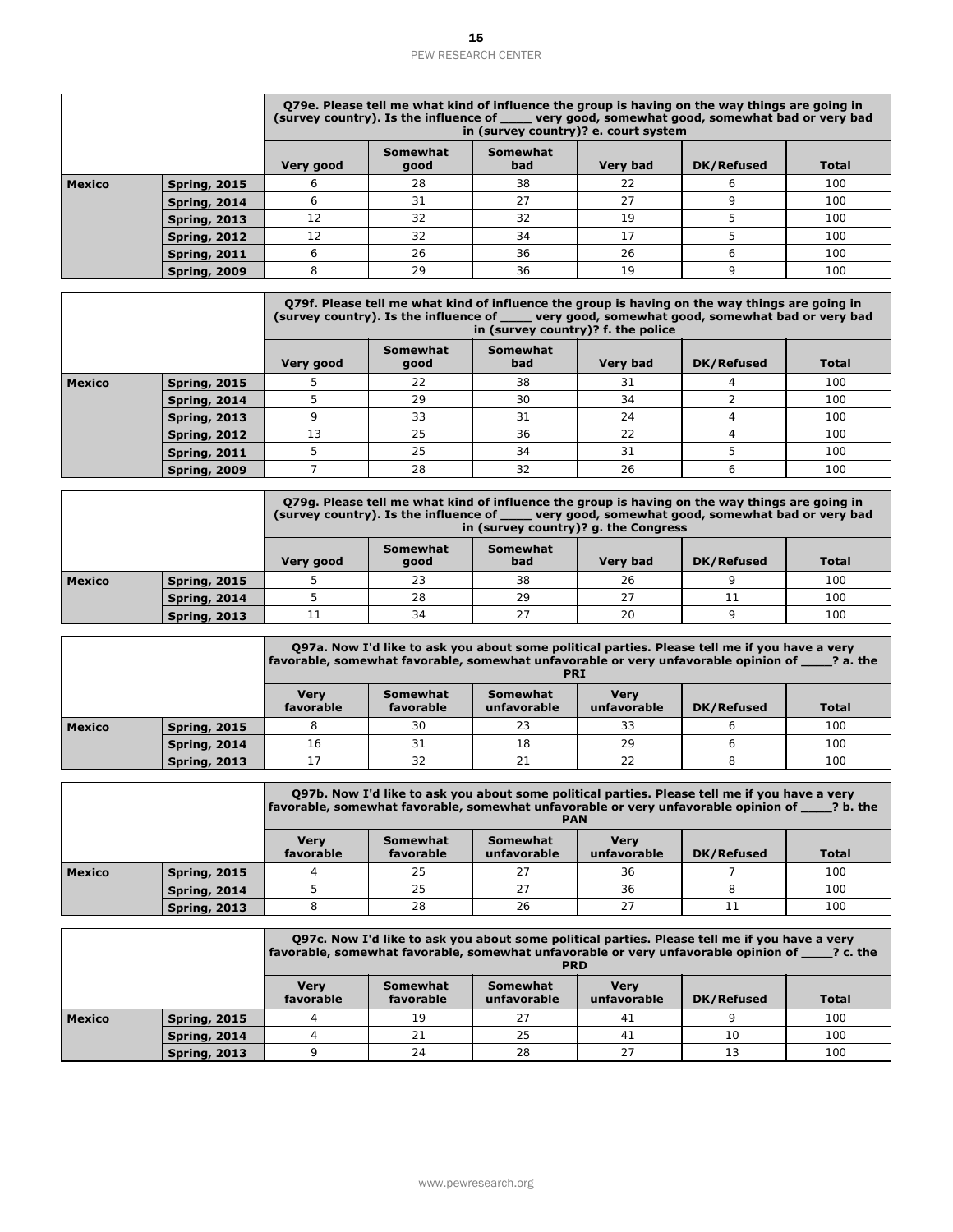|               |                                            |                          |                              | in (survey country)? e. court system |                            | Q79e. Please tell me what kind of influence the group is having on the way things are going in<br>(survey country). Is the influence of very good, somewhat good, somewhat bad or very bad                                             |              |
|---------------|--------------------------------------------|--------------------------|------------------------------|--------------------------------------|----------------------------|----------------------------------------------------------------------------------------------------------------------------------------------------------------------------------------------------------------------------------------|--------------|
|               |                                            | Very good                | Somewhat<br>good             | Somewhat<br>bad                      | Very bad                   | DK/Refused                                                                                                                                                                                                                             | <b>Total</b> |
| Mexico        | <b>Spring, 2015</b>                        | 6                        | 28                           | 38                                   | 22                         | 6                                                                                                                                                                                                                                      | 100          |
|               | <b>Spring, 2014</b>                        | 6                        | 31                           | 27                                   | 27                         | 9                                                                                                                                                                                                                                      | 100          |
|               | <b>Spring, 2013</b>                        | 12                       | 32                           | 32                                   | 19                         | 5                                                                                                                                                                                                                                      | 100          |
|               | <b>Spring, 2012</b>                        | 12                       | 32                           | 34                                   | 17                         | 5                                                                                                                                                                                                                                      | 100          |
|               | <b>Spring, 2011</b>                        | 6                        | 26                           | 36                                   | 26                         | 6                                                                                                                                                                                                                                      | 100          |
|               | <b>Spring, 2009</b>                        | 8                        | 29                           | 36                                   | 19                         | 9                                                                                                                                                                                                                                      | 100          |
|               |                                            |                          |                              |                                      |                            | Q79f. Please tell me what kind of influence the group is having on the way things are going in<br>(survey country). Is the influence of _____ very good, somewhat good, somewhat bad or very bad<br>in (survey country)? f. the police |              |
|               |                                            | Very good                | Somewhat<br>good             | Somewhat<br>bad                      | Very bad                   | <b>DK/Refused</b>                                                                                                                                                                                                                      | <b>Total</b> |
| Mexico        | <b>Spring, 2015</b>                        | 5                        | 22                           | 38                                   | 31                         | 4                                                                                                                                                                                                                                      | 100          |
|               | <b>Spring, 2014</b>                        | 5                        | 29                           | 30                                   | 34                         | $\overline{2}$                                                                                                                                                                                                                         | 100          |
|               | <b>Spring, 2013</b>                        | 9                        | 33                           | 31                                   | 24                         | $\overline{4}$                                                                                                                                                                                                                         | 100          |
|               | <b>Spring, 2012</b>                        | 13                       | 25                           | 36                                   | 22                         | 4                                                                                                                                                                                                                                      | 100          |
|               | <b>Spring, 2011</b>                        | 5                        | 25                           | 34                                   | 31                         | 5                                                                                                                                                                                                                                      | 100          |
|               | <b>Spring, 2009</b>                        | $\overline{7}$           | 28                           | 32                                   | 26                         | 6                                                                                                                                                                                                                                      | 100          |
|               |                                            |                          |                              | in (survey country)? g. the Congress |                            | Q79g. Please tell me what kind of influence the group is having on the way things are going in<br>(survey country). Is the influence of same very good, somewhat good, somewhat bad or very bad                                        |              |
|               |                                            |                          | Somewhat                     | Somewhat                             |                            |                                                                                                                                                                                                                                        |              |
|               |                                            | Very good                | good                         | bad                                  | Very bad                   | DK/Refused                                                                                                                                                                                                                             | <b>Total</b> |
|               | <b>Spring, 2015</b>                        | 5                        | 23                           | 38                                   | 26                         | 9                                                                                                                                                                                                                                      | 100          |
|               | <b>Spring, 2014</b>                        | 5                        | 28                           | 29                                   | 27                         | 11                                                                                                                                                                                                                                     | 100          |
|               | <b>Spring, 2013</b>                        | 11                       | 34                           | 27                                   | 20                         | 9                                                                                                                                                                                                                                      | 100          |
| Mexico        |                                            |                          |                              | <b>PRI</b>                           |                            | Q97a. Now I'd like to ask you about some political parties. Please tell me if you have a very<br>favorable, somewhat favorable, somewhat unfavorable or very unfavorable opinion of ____? a. the                                       |              |
|               |                                            | <b>Very</b><br>favorable | <b>Somewhat</b><br>favorable | Somewhat<br>unfavorable              | <b>Very</b><br>unfavorable | DK/Refused                                                                                                                                                                                                                             | <b>Total</b> |
|               | <b>Spring, 2015</b>                        | 8                        | 30                           | 23                                   | 33                         | 6                                                                                                                                                                                                                                      | 100          |
|               | <b>Spring, 2014</b>                        | 16                       | 31                           | 18                                   | 29                         | 6                                                                                                                                                                                                                                      | 100          |
|               | <b>Spring, 2013</b>                        | 17                       | 32                           | 21                                   | 22                         | 8                                                                                                                                                                                                                                      | 100          |
| <b>Mexico</b> |                                            |                          |                              | <b>PAN</b>                           |                            | Q97b. Now I'd like to ask you about some political parties. Please tell me if you have a very<br>favorable, somewhat favorable, somewhat unfavorable or very unfavorable opinion of _____? b. the                                      |              |
|               |                                            | <b>Very</b><br>favorable | <b>Somewhat</b><br>favorable | <b>Somewhat</b><br>unfavorable       | <b>Very</b><br>unfavorable | DK/Refused                                                                                                                                                                                                                             | <b>Total</b> |
|               | <b>Spring, 2015</b>                        | 4                        | 25                           | 27                                   | 36                         | $\overline{7}$                                                                                                                                                                                                                         | 100          |
|               | <b>Spring, 2014</b>                        | 5                        | 25                           | 27                                   | 36                         | 8                                                                                                                                                                                                                                      | 100          |
|               | <b>Spring, 2013</b>                        | 8                        | 28                           | 26                                   | 27                         | 11                                                                                                                                                                                                                                     | 100          |
| <b>Mexico</b> |                                            |                          |                              | <b>PRD</b>                           |                            | Q97c. Now I'd like to ask you about some political parties. Please tell me if you have a very<br>favorable, somewhat favorable, somewhat unfavorable or very unfavorable opinion of 2. c. the                                          |              |
|               |                                            | <b>Very</b><br>favorable | Somewhat<br>favorable        | <b>Somewhat</b><br>unfavorable       | <b>Very</b><br>unfavorable | <b>DK/Refused</b>                                                                                                                                                                                                                      | <b>Total</b> |
|               | <b>Spring, 2015</b>                        | 4                        | 19                           | 27                                   | 41                         | 9                                                                                                                                                                                                                                      | 100          |
| Mexico        | <b>Spring, 2014</b><br><b>Spring, 2013</b> | 4<br>9                   | 21<br>24                     | 25<br>28                             | 41<br>27                   | 10<br>13                                                                                                                                                                                                                               | 100<br>100   |

|               |                     | Q79f. Please tell me what kind of influence the group is having on the way things are going in<br>(survey country). Is the influence of ____ very good, somewhat good, somewhat bad or very bad<br>in (survey country)? f. the police |                  |                 |          |            |              |  |
|---------------|---------------------|---------------------------------------------------------------------------------------------------------------------------------------------------------------------------------------------------------------------------------------|------------------|-----------------|----------|------------|--------------|--|
|               |                     | Very good                                                                                                                                                                                                                             | Somewhat<br>good | Somewhat<br>bad | Very bad | DK/Refused | <b>Total</b> |  |
| <b>Mexico</b> | Spring, 2015        | 5                                                                                                                                                                                                                                     | 22               | 38              | 31       |            | 100          |  |
|               | <b>Spring, 2014</b> | 5                                                                                                                                                                                                                                     | 29               | 30              | 34       |            | 100          |  |
|               | <b>Spring, 2013</b> |                                                                                                                                                                                                                                       | 33               | 31              | 24       | 4          | 100          |  |
|               | <b>Spring, 2012</b> | 13                                                                                                                                                                                                                                    | 25               | 36              | 22       |            | 100          |  |
|               | <b>Spring, 2011</b> | 25<br>34<br>31<br>100<br>5                                                                                                                                                                                                            |                  |                 |          |            |              |  |
|               | <b>Spring, 2009</b> |                                                                                                                                                                                                                                       | 28               | 32              | 26       |            | 100          |  |

|               |                     |                             |                  | O79g. Please tell me what kind of influence the group is having on the way things are going in<br>(survey country). Is the influence of same very good, somewhat good, somewhat bad or very bad<br>in (survey country)? g. the Congress |                 |            |              |  |
|---------------|---------------------|-----------------------------|------------------|-----------------------------------------------------------------------------------------------------------------------------------------------------------------------------------------------------------------------------------------|-----------------|------------|--------------|--|
|               |                     | Very good                   | Somewhat<br>good | Somewhat<br>bad                                                                                                                                                                                                                         | <b>Very bad</b> | DK/Refused | <b>Total</b> |  |
| <b>Mexico</b> | <b>Spring, 2015</b> |                             | 23               | 38                                                                                                                                                                                                                                      | 26              |            | 100          |  |
|               | <b>Spring, 2014</b> | 29<br>100<br>27<br>28<br>11 |                  |                                                                                                                                                                                                                                         |                 |            |              |  |
|               | <b>Spring, 2013</b> |                             | 34               | 27                                                                                                                                                                                                                                      | 20              |            | 100          |  |

|               |                     |                             |                       | Q97a. Now I'd like to ask you about some political parties. Please tell me if you have a very<br>favorable, somewhat favorable, somewhat unfavorable or very unfavorable opinion of ? a. the<br><b>PRI</b> |                            |            |              |  |
|---------------|---------------------|-----------------------------|-----------------------|------------------------------------------------------------------------------------------------------------------------------------------------------------------------------------------------------------|----------------------------|------------|--------------|--|
|               |                     | <b>Verv</b><br>favorable    | Somewhat<br>favorable | Somewhat<br>unfavorable                                                                                                                                                                                    | <b>Verv</b><br>unfavorable | DK/Refused | <b>Total</b> |  |
| <b>Mexico</b> | <b>Spring, 2015</b> | 8                           | 30                    | 23                                                                                                                                                                                                         | 33                         |            | 100          |  |
|               | Spring, 2014        | 18<br>29<br>100<br>31<br>16 |                       |                                                                                                                                                                                                            |                            |            |              |  |
|               | <b>Spring, 2013</b> |                             | 32                    | 21                                                                                                                                                                                                         | 22                         |            | 100          |  |

|               |                     |                          |                       | Q97b. Now I'd like to ask you about some political parties. Please tell me if you have a very<br>favorable, somewhat favorable, somewhat unfavorable or very unfavorable opinion of 3 b. the<br><b>PAN</b> |                            |                   |              |
|---------------|---------------------|--------------------------|-----------------------|------------------------------------------------------------------------------------------------------------------------------------------------------------------------------------------------------------|----------------------------|-------------------|--------------|
|               |                     | <b>Verv</b><br>favorable | Somewhat<br>favorable | Somewhat<br>unfavorable                                                                                                                                                                                    | <b>Verv</b><br>unfavorable | <b>DK/Refused</b> | <b>Total</b> |
| <b>Mexico</b> | <b>Spring, 2015</b> |                          | 25                    | 27                                                                                                                                                                                                         | 36                         |                   | 100          |
|               | <b>Spring, 2014</b> |                          | 100<br>25<br>27<br>36 |                                                                                                                                                                                                            |                            |                   |              |
|               | <b>Spring, 2013</b> |                          | 28                    | 26                                                                                                                                                                                                         | 27                         |                   | 100          |

|        |                     |                          |                             | Q97c. Now I'd like to ask you about some political parties. Please tell me if you have a very<br>favorable, somewhat favorable, somewhat unfavorable or very unfavorable opinion of ? c. the<br><b>PRD</b> |                            |            |              |  |
|--------|---------------------|--------------------------|-----------------------------|------------------------------------------------------------------------------------------------------------------------------------------------------------------------------------------------------------|----------------------------|------------|--------------|--|
|        |                     | <b>Verv</b><br>favorable | Somewhat<br>favorable       | Somewhat<br>unfavorable                                                                                                                                                                                    | <b>Verv</b><br>unfavorable | DK/Refused | <b>Total</b> |  |
| Mexico | <b>Spring, 2015</b> |                          | 19                          | 27                                                                                                                                                                                                         | 41                         |            | 100          |  |
|        | <b>Spring, 2014</b> |                          | 25<br>100<br>21<br>41<br>10 |                                                                                                                                                                                                            |                            |            |              |  |
|        | <b>Spring, 2013</b> | $\circ$                  | 24                          | 28                                                                                                                                                                                                         | 27                         | 13         | 100          |  |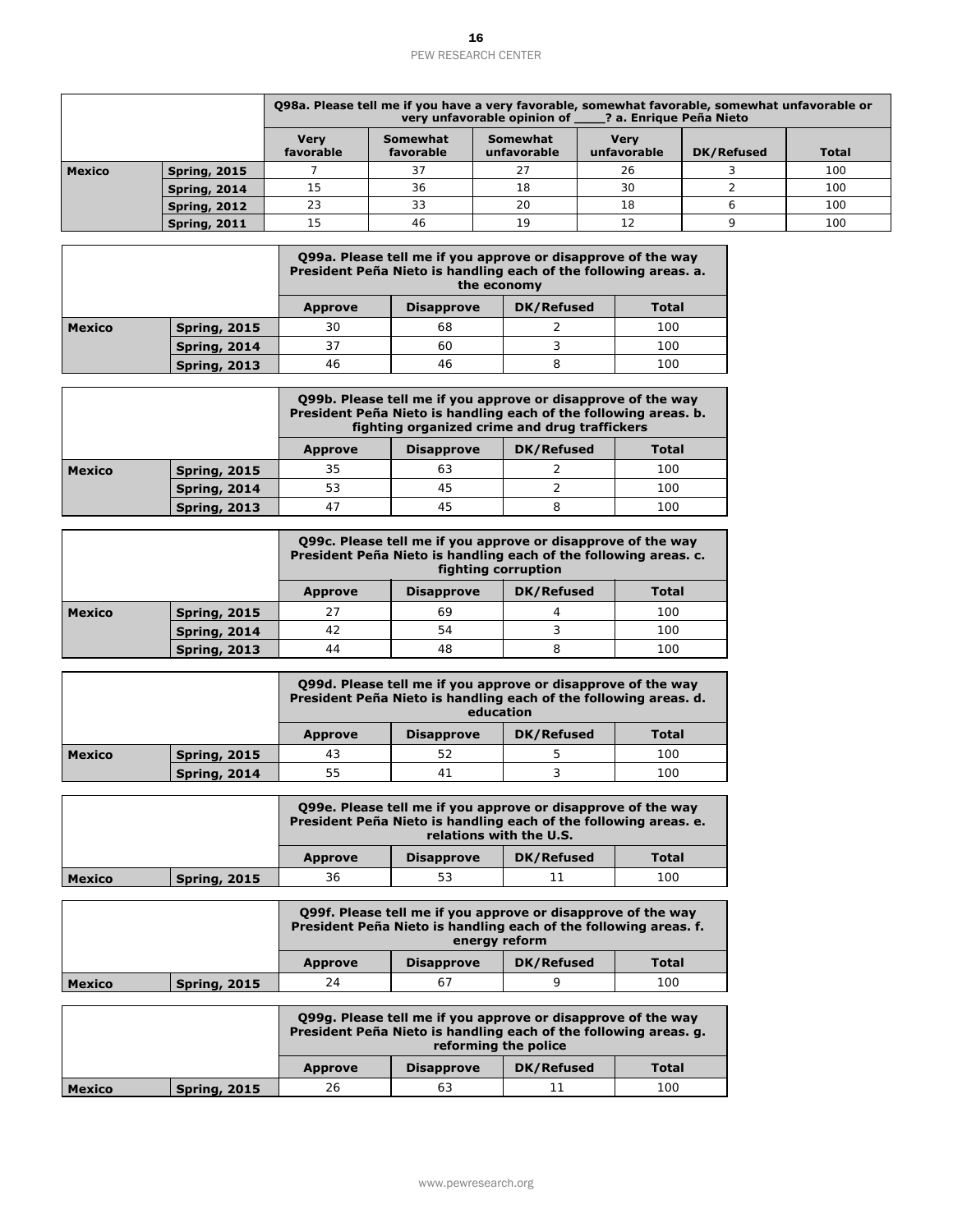|                                                 |                     |                          |                                                                                                                                                                                   | very unfavorable opinion of              |                     | Q98a. Please tell me if you have a very favorable, somewhat favorable, somewhat unfavorable or<br>? a. Enrique Peña Nieto |              |
|-------------------------------------------------|---------------------|--------------------------|-----------------------------------------------------------------------------------------------------------------------------------------------------------------------------------|------------------------------------------|---------------------|---------------------------------------------------------------------------------------------------------------------------|--------------|
|                                                 |                     | <b>Very</b><br>favorable | <b>Somewhat</b><br>favorable                                                                                                                                                      | <b>Somewhat</b><br>unfavorable           | Very<br>unfavorable | <b>DK/Refused</b>                                                                                                         | <b>Total</b> |
| <b>Mexico</b>                                   | <b>Spring, 2015</b> | $\overline{7}$           | 37                                                                                                                                                                                | 27                                       | 26                  | 3                                                                                                                         | 100          |
|                                                 | <b>Spring, 2014</b> | 15                       | 36                                                                                                                                                                                | 18                                       | 30                  | $\overline{2}$                                                                                                            | 100          |
|                                                 | <b>Spring, 2012</b> | 23                       | 33                                                                                                                                                                                | 20                                       | 18                  | 6                                                                                                                         | 100          |
|                                                 | <b>Spring, 2011</b> | 15                       | 46                                                                                                                                                                                | 19                                       | 12                  | 9                                                                                                                         | 100          |
|                                                 |                     |                          | Q99a. Please tell me if you approve or disapprove of the way<br>President Peña Nieto is handling each of the following areas. a.                                                  | the economy                              |                     |                                                                                                                           |              |
|                                                 |                     | <b>Approve</b>           | <b>Disapprove</b>                                                                                                                                                                 | <b>DK/Refused</b>                        | <b>Total</b>        |                                                                                                                           |              |
| <b>Mexico</b>                                   | <b>Spring, 2015</b> | 30                       | 68                                                                                                                                                                                | 2                                        | 100                 |                                                                                                                           |              |
|                                                 | <b>Spring, 2014</b> | 37                       | 60                                                                                                                                                                                | 3                                        | 100                 |                                                                                                                           |              |
|                                                 | <b>Spring, 2013</b> | 46                       | 46                                                                                                                                                                                | 8                                        | 100                 |                                                                                                                           |              |
|                                                 |                     |                          | Q99b. Please tell me if you approve or disapprove of the way<br>President Peña Nieto is handling each of the following areas. b.<br>fighting organized crime and drug traffickers |                                          |                     |                                                                                                                           |              |
|                                                 |                     | <b>Approve</b>           | <b>Disapprove</b>                                                                                                                                                                 | <b>DK/Refused</b>                        | <b>Total</b>        |                                                                                                                           |              |
| <b>Mexico</b>                                   | <b>Spring, 2015</b> | 35                       | 63                                                                                                                                                                                | 2                                        | 100                 |                                                                                                                           |              |
|                                                 | <b>Spring, 2014</b> | 53                       | 45                                                                                                                                                                                | $\overline{2}$                           | 100                 |                                                                                                                           |              |
|                                                 | <b>Spring, 2013</b> | 47                       | 45                                                                                                                                                                                | 8                                        | 100                 |                                                                                                                           |              |
|                                                 |                     | <b>Approve</b>           | <b>Disapprove</b>                                                                                                                                                                 | fighting corruption<br><b>DK/Refused</b> | <b>Total</b>        |                                                                                                                           |              |
| <b>Mexico</b>                                   | <b>Spring, 2015</b> | 27                       |                                                                                                                                                                                   |                                          |                     |                                                                                                                           |              |
|                                                 |                     |                          | 69                                                                                                                                                                                | 4                                        | 100                 |                                                                                                                           |              |
|                                                 | <b>Spring, 2014</b> | 42                       | 54                                                                                                                                                                                | 3                                        | 100                 |                                                                                                                           |              |
|                                                 | <b>Spring, 2013</b> | 44                       | 48                                                                                                                                                                                | 8                                        | 100                 |                                                                                                                           |              |
|                                                 |                     |                          | Q99d. Please tell me if you approve or disapprove of the way<br>President Peña Nieto is handling each of the following areas. d.                                                  | education                                |                     |                                                                                                                           |              |
|                                                 |                     | <b>Approve</b>           | <b>Disapprove</b>                                                                                                                                                                 | <b>DK/Refused</b>                        | <b>Total</b>        |                                                                                                                           |              |
|                                                 | <b>Spring, 2015</b> | 43                       | 52                                                                                                                                                                                | 5                                        | 100                 |                                                                                                                           |              |
|                                                 | <b>Spring, 2014</b> | 55                       | 41                                                                                                                                                                                | 3                                        | 100                 |                                                                                                                           |              |
|                                                 |                     |                          | Q99e. Please tell me if you approve or disapprove of the way<br>President Peña Nieto is handling each of the following areas. e.                                                  | relations with the U.S.                  |                     |                                                                                                                           |              |
|                                                 |                     | <b>Approve</b>           | <b>Disapprove</b>                                                                                                                                                                 | DK/Refused                               | <b>Total</b>        |                                                                                                                           |              |
|                                                 | <b>Spring, 2015</b> | 36                       | 53                                                                                                                                                                                | 11                                       | 100                 |                                                                                                                           |              |
|                                                 |                     |                          | Q99f. Please tell me if you approve or disapprove of the way<br>President Peña Nieto is handling each of the following areas. f.                                                  | energy reform                            |                     |                                                                                                                           |              |
|                                                 |                     | <b>Approve</b>           | <b>Disapprove</b>                                                                                                                                                                 | <b>DK/Refused</b>                        | <b>Total</b>        |                                                                                                                           |              |
|                                                 | <b>Spring, 2015</b> | 24                       | 67                                                                                                                                                                                | 9                                        | 100                 |                                                                                                                           |              |
|                                                 |                     |                          | Q99g. Please tell me if you approve or disapprove of the way<br>President Peña Nieto is handling each of the following areas. g.                                                  | reforming the police                     |                     |                                                                                                                           |              |
| <b>Mexico</b><br><b>Mexico</b><br><b>Mexico</b> | <b>Spring, 2015</b> | <b>Approve</b><br>26     | <b>Disapprove</b>                                                                                                                                                                 | <b>DK/Refused</b>                        | <b>Total</b><br>100 |                                                                                                                           |              |

|               |                     |                | Q99a. Please tell me if you approve or disapprove of the way<br>President Peña Nieto is handling each of the following areas. a.<br>the economy |                   |              |
|---------------|---------------------|----------------|-------------------------------------------------------------------------------------------------------------------------------------------------|-------------------|--------------|
|               |                     | <b>Approve</b> | <b>Disapprove</b>                                                                                                                               | <b>DK/Refused</b> | <b>Total</b> |
| <b>Mexico</b> | <b>Spring, 2015</b> | 30             | 68                                                                                                                                              |                   | 100          |
|               | <b>Spring, 2014</b> | 37             | 60                                                                                                                                              |                   | 100          |
|               | <b>Spring, 2013</b> | 46             | 46                                                                                                                                              |                   | 100          |

|                                                             |                     | Q99b. Please tell me if you approve or disapprove of the way<br>President Peña Nieto is handling each of the following areas. b.<br>fighting organized crime and drug traffickers |    |  |     |  |
|-------------------------------------------------------------|---------------------|-----------------------------------------------------------------------------------------------------------------------------------------------------------------------------------|----|--|-----|--|
|                                                             |                     | <b>DK/Refused</b><br><b>Total</b><br><b>Disapprove</b><br><b>Approve</b>                                                                                                          |    |  |     |  |
| <b>Mexico</b><br><b>Spring, 2015</b><br><b>Spring, 2014</b> |                     | 35                                                                                                                                                                                | 63 |  | 100 |  |
|                                                             |                     | 53                                                                                                                                                                                | 45 |  | 100 |  |
|                                                             | <b>Spring, 2013</b> | 47                                                                                                                                                                                | 45 |  | 100 |  |

|                                                             |                     | Q99c. Please tell me if you approve or disapprove of the way<br>President Peña Nieto is handling each of the following areas. c.<br>fighting corruption |    |  |     |  |  |
|-------------------------------------------------------------|---------------------|---------------------------------------------------------------------------------------------------------------------------------------------------------|----|--|-----|--|--|
|                                                             |                     | <b>DK/Refused</b><br><b>Total</b><br><b>Disapprove</b><br><b>Approve</b>                                                                                |    |  |     |  |  |
| <b>Mexico</b><br><b>Spring, 2015</b><br><b>Spring, 2014</b> |                     | 27                                                                                                                                                      | 69 |  | 100 |  |  |
|                                                             |                     | 42                                                                                                                                                      | 54 |  | 100 |  |  |
|                                                             | <b>Spring, 2013</b> | 48<br>44<br>100<br>8                                                                                                                                    |    |  |     |  |  |

|                                      |                     | Q99d. Please tell me if you approve or disapprove of the way<br>President Peña Nieto is handling each of the following areas. d.<br>education |    |  |     |  |  |
|--------------------------------------|---------------------|-----------------------------------------------------------------------------------------------------------------------------------------------|----|--|-----|--|--|
|                                      |                     | DK/Refused<br><b>Total</b><br><b>Disapprove</b><br><b>Approve</b>                                                                             |    |  |     |  |  |
| <b>Mexico</b><br><b>Spring, 2015</b> |                     | 43                                                                                                                                            | 52 |  | 100 |  |  |
|                                      | <b>Spring, 2014</b> | 55<br>4 <sup>1</sup><br>100                                                                                                                   |    |  |     |  |  |

|               |                     |                                                                          | Q99e. Please tell me if you approve or disapprove of the way<br>President Peña Nieto is handling each of the following areas. e.<br>relations with the U.S. |  |  |  |  |  |
|---------------|---------------------|--------------------------------------------------------------------------|-------------------------------------------------------------------------------------------------------------------------------------------------------------|--|--|--|--|--|
|               |                     | <b>DK/Refused</b><br><b>Total</b><br><b>Disapprove</b><br><b>Approve</b> |                                                                                                                                                             |  |  |  |  |  |
| <b>Mexico</b> | <b>Spring, 2015</b> | 36<br>100<br>11<br>53                                                    |                                                                                                                                                             |  |  |  |  |  |

|               |                     |                                                                          | energy reform | Q99f. Please tell me if you approve or disapprove of the way<br>President Peña Nieto is handling each of the following areas. f. |  |  |  |  |
|---------------|---------------------|--------------------------------------------------------------------------|---------------|----------------------------------------------------------------------------------------------------------------------------------|--|--|--|--|
|               |                     | <b>DK/Refused</b><br><b>Disapprove</b><br><b>Total</b><br><b>Approve</b> |               |                                                                                                                                  |  |  |  |  |
| <b>Mexico</b> | <b>Spring, 2015</b> | 24<br>100<br>67                                                          |               |                                                                                                                                  |  |  |  |  |

|        |              | Q99g. Please tell me if you approve or disapprove of the way<br>President Peña Nieto is handling each of the following areas. g.<br>reforming the police |  |  |  |  |  |
|--------|--------------|----------------------------------------------------------------------------------------------------------------------------------------------------------|--|--|--|--|--|
|        |              | <b>Total</b><br>DK/Refused<br><b>Disapprove</b><br><b>Approve</b>                                                                                        |  |  |  |  |  |
| Mexico | Spring, 2015 | 26<br>100<br>63                                                                                                                                          |  |  |  |  |  |